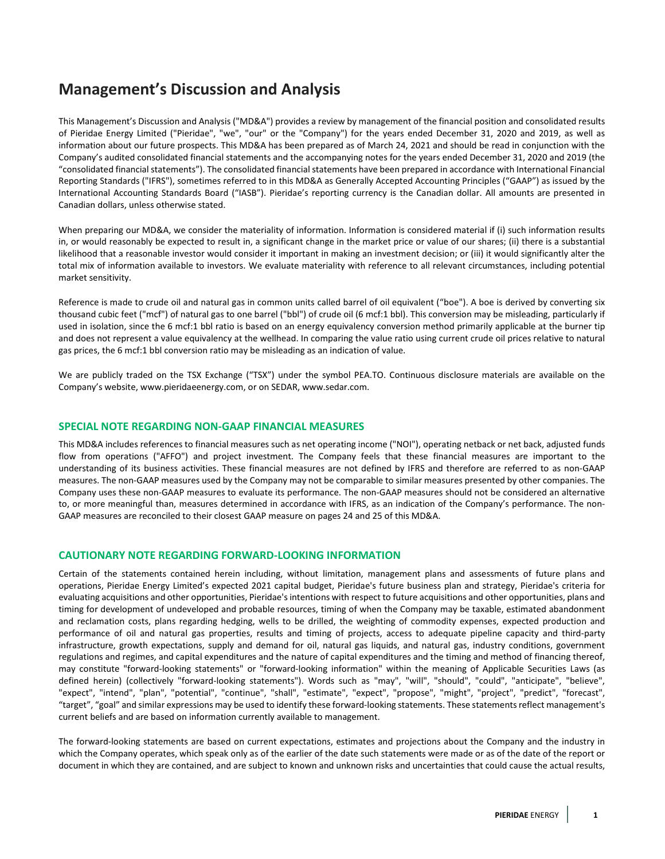# **Management's Discussion and Analysis**

This Management's Discussion and Analysis ("MD&A") provides a review by management of the financial position and consolidated results of Pieridae Energy Limited ("Pieridae", "we", "our" or the "Company") for the years ended December 31, 2020 and 2019, as well as information about our future prospects. This MD&A has been prepared as of March 24, 2021 and should be read in conjunction with the Company's audited consolidated financial statements and the accompanying notes for the years ended December 31, 2020 and 2019 (the "consolidated financial statements"). The consolidated financial statements have been prepared in accordance with International Financial Reporting Standards ("IFRS"), sometimes referred to in this MD&A as Generally Accepted Accounting Principles ("GAAP") as issued by the International Accounting Standards Board ("IASB"). Pieridae's reporting currency is the Canadian dollar. All amounts are presented in Canadian dollars, unless otherwise stated.

When preparing our MD&A, we consider the materiality of information. Information is considered material if (i) such information results in, or would reasonably be expected to result in, a significant change in the market price or value of our shares; (ii) there is a substantial likelihood that a reasonable investor would consider it important in making an investment decision; or (iii) it would significantly alter the total mix of information available to investors. We evaluate materiality with reference to all relevant circumstances, including potential market sensitivity.

Reference is made to crude oil and natural gas in common units called barrel of oil equivalent ("boe"). A boe is derived by converting six thousand cubic feet ("mcf") of natural gas to one barrel ("bbl") of crude oil (6 mcf:1 bbl). This conversion may be misleading, particularly if used in isolation, since the 6 mcf:1 bbl ratio is based on an energy equivalency conversion method primarily applicable at the burner tip and does not represent a value equivalency at the wellhead. In comparing the value ratio using current crude oil prices relative to natural gas prices, the 6 mcf:1 bbl conversion ratio may be misleading as an indication of value.

We are publicly traded on the TSX Exchange ("TSX") under the symbol PEA.TO. Continuous disclosure materials are available on the Company's website[, www.pieridaeenergy.com,](http://www.pieridaeenergy.com/) or on SEDAR[, www.sedar.com.](http://www.sedar.com/)

## **SPECIAL NOTE REGARDING NON-GAAP FINANCIAL MEASURES**

This MD&A includes references to financial measures such as net operating income ("NOI"), operating netback or net back, adjusted funds flow from operations ("AFFO") and project investment. The Company feels that these financial measures are important to the understanding of its business activities. These financial measures are not defined by IFRS and therefore are referred to as non-GAAP measures. The non-GAAP measures used by the Company may not be comparable to similar measures presented by other companies. The Company uses these non-GAAP measures to evaluate its performance. The non-GAAP measures should not be considered an alternative to, or more meaningful than, measures determined in accordance with IFRS, as an indication of the Company's performance. The non-GAAP measures are reconciled to their closest GAAP measure on pages 24 and 25 of this MD&A.

## **CAUTIONARY NOTE REGARDING FORWARD-LOOKING INFORMATION**

Certain of the statements contained herein including, without limitation, management plans and assessments of future plans and operations, Pieridae Energy Limited's expected 2021 capital budget, Pieridae's future business plan and strategy, Pieridae's criteria for evaluating acquisitions and other opportunities, Pieridae's intentions with respect to future acquisitions and other opportunities, plans and timing for development of undeveloped and probable resources, timing of when the Company may be taxable, estimated abandonment and reclamation costs, plans regarding hedging, wells to be drilled, the weighting of commodity expenses, expected production and performance of oil and natural gas properties, results and timing of projects, access to adequate pipeline capacity and third-party infrastructure, growth expectations, supply and demand for oil, natural gas liquids, and natural gas, industry conditions, government regulations and regimes, and capital expenditures and the nature of capital expenditures and the timing and method of financing thereof, may constitute "forward-looking statements" or "forward-looking information" within the meaning of Applicable Securities Laws (as defined herein) (collectively "forward-looking statements"). Words such as "may", "will", "should", "could", "anticipate", "believe", "expect", "intend", "plan", "potential", "continue", "shall", "estimate", "expect", "propose", "might", "project", "predict", "forecast", "target", "goal" and similar expressions may be used to identify these forward-looking statements. These statements reflect management's current beliefs and are based on information currently available to management.

The forward-looking statements are based on current expectations, estimates and projections about the Company and the industry in which the Company operates, which speak only as of the earlier of the date such statements were made or as of the date of the report or document in which they are contained, and are subject to known and unknown risks and uncertainties that could cause the actual results,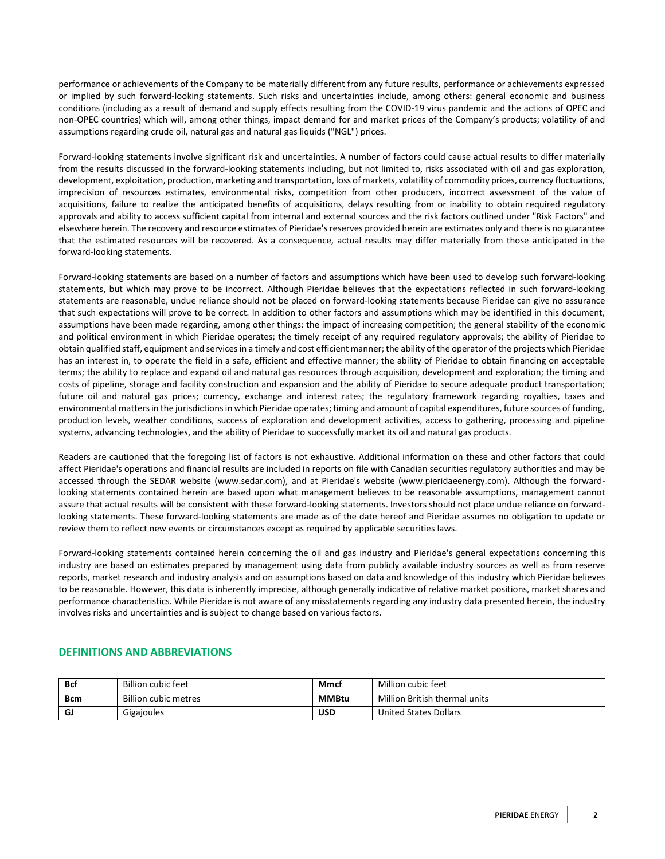performance or achievements of the Company to be materially different from any future results, performance or achievements expressed or implied by such forward-looking statements. Such risks and uncertainties include, among others: general economic and business conditions (including as a result of demand and supply effects resulting from the COVID-19 virus pandemic and the actions of OPEC and non-OPEC countries) which will, among other things, impact demand for and market prices of the Company's products; volatility of and assumptions regarding crude oil, natural gas and natural gas liquids ("NGL") prices.

Forward-looking statements involve significant risk and uncertainties. A number of factors could cause actual results to differ materially from the results discussed in the forward-looking statements including, but not limited to, risks associated with oil and gas exploration, development, exploitation, production, marketing and transportation, loss of markets, volatility of commodity prices, currency fluctuations, imprecision of resources estimates, environmental risks, competition from other producers, incorrect assessment of the value of acquisitions, failure to realize the anticipated benefits of acquisitions, delays resulting from or inability to obtain required regulatory approvals and ability to access sufficient capital from internal and external sources and the risk factors outlined under "Risk Factors" and elsewhere herein. The recovery and resource estimates of Pieridae's reserves provided herein are estimates only and there is no guarantee that the estimated resources will be recovered. As a consequence, actual results may differ materially from those anticipated in the forward-looking statements.

Forward-looking statements are based on a number of factors and assumptions which have been used to develop such forward-looking statements, but which may prove to be incorrect. Although Pieridae believes that the expectations reflected in such forward-looking statements are reasonable, undue reliance should not be placed on forward-looking statements because Pieridae can give no assurance that such expectations will prove to be correct. In addition to other factors and assumptions which may be identified in this document, assumptions have been made regarding, among other things: the impact of increasing competition; the general stability of the economic and political environment in which Pieridae operates; the timely receipt of any required regulatory approvals; the ability of Pieridae to obtain qualified staff, equipment and services in a timely and cost efficient manner; the ability of the operator of the projects which Pieridae has an interest in, to operate the field in a safe, efficient and effective manner; the ability of Pieridae to obtain financing on acceptable terms; the ability to replace and expand oil and natural gas resources through acquisition, development and exploration; the timing and costs of pipeline, storage and facility construction and expansion and the ability of Pieridae to secure adequate product transportation; future oil and natural gas prices; currency, exchange and interest rates; the regulatory framework regarding royalties, taxes and environmental matters in the jurisdictions in which Pieridae operates; timing and amount of capital expenditures, future sources of funding, production levels, weather conditions, success of exploration and development activities, access to gathering, processing and pipeline systems, advancing technologies, and the ability of Pieridae to successfully market its oil and natural gas products.

Readers are cautioned that the foregoing list of factors is not exhaustive. Additional information on these and other factors that could affect Pieridae's operations and financial results are included in reports on file with Canadian securities regulatory authorities and may be accessed through the SEDAR website (www.sedar.com), and at Pieridae's website (www.pieridaeenergy.com). Although the forwardlooking statements contained herein are based upon what management believes to be reasonable assumptions, management cannot assure that actual results will be consistent with these forward-looking statements. Investors should not place undue reliance on forwardlooking statements. These forward-looking statements are made as of the date hereof and Pieridae assumes no obligation to update or review them to reflect new events or circumstances except as required by applicable securities laws.

Forward-looking statements contained herein concerning the oil and gas industry and Pieridae's general expectations concerning this industry are based on estimates prepared by management using data from publicly available industry sources as well as from reserve reports, market research and industry analysis and on assumptions based on data and knowledge of this industry which Pieridae believes to be reasonable. However, this data is inherently imprecise, although generally indicative of relative market positions, market shares and performance characteristics. While Pieridae is not aware of any misstatements regarding any industry data presented herein, the industry involves risks and uncertainties and is subject to change based on various factors.

| <b>Bcf</b>  | Billion cubic feet   | Mmcf         | Million cubic feet            |
|-------------|----------------------|--------------|-------------------------------|
| <b>B</b> cm | Billion cubic metres | <b>MMBtu</b> | Million British thermal units |
| GJ          | Gigajoules           | <b>USD</b>   | United States Dollars         |

# **DEFINITIONS AND ABBREVIATIONS**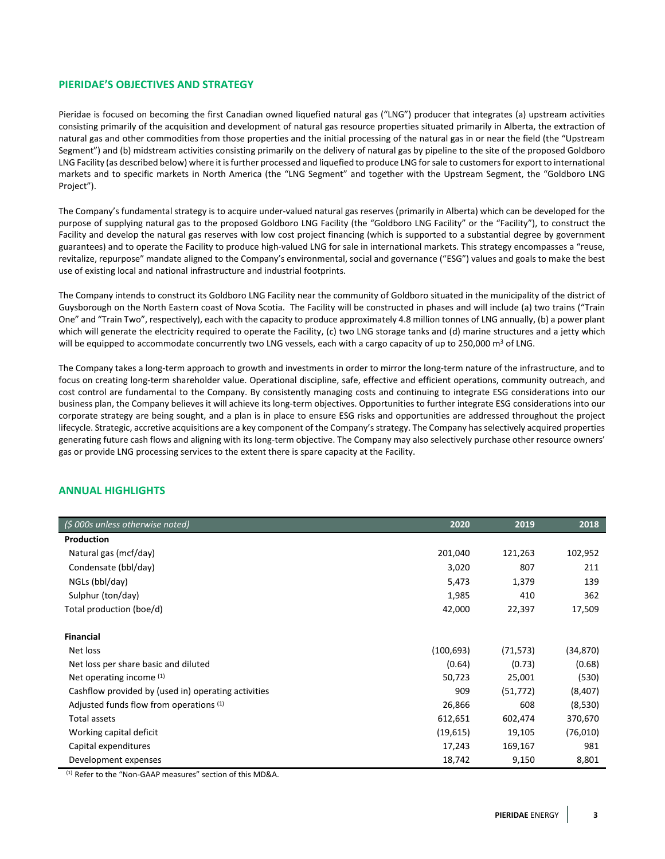## **PIERIDAE'S OBJECTIVES AND STRATEGY**

Pieridae is focused on becoming the first Canadian owned liquefied natural gas ("LNG") producer that integrates (a) upstream activities consisting primarily of the acquisition and development of natural gas resource properties situated primarily in Alberta, the extraction of natural gas and other commodities from those properties and the initial processing of the natural gas in or near the field (the "Upstream Segment") and (b) midstream activities consisting primarily on the delivery of natural gas by pipeline to the site of the proposed Goldboro LNG Facility (as described below) where it is further processed and liquefied to produce LNG for sale to customers for export to international markets and to specific markets in North America (the "LNG Segment" and together with the Upstream Segment, the "Goldboro LNG Project").

The Company's fundamental strategy is to acquire under-valued natural gas reserves (primarily in Alberta) which can be developed for the purpose of supplying natural gas to the proposed Goldboro LNG Facility (the "Goldboro LNG Facility" or the "Facility"), to construct the Facility and develop the natural gas reserves with low cost project financing (which is supported to a substantial degree by government guarantees) and to operate the Facility to produce high-valued LNG for sale in international markets. This strategy encompasses a "reuse, revitalize, repurpose" mandate aligned to the Company's environmental, social and governance ("ESG") values and goals to make the best use of existing local and national infrastructure and industrial footprints.

The Company intends to construct its Goldboro LNG Facility near the community of Goldboro situated in the municipality of the district of Guysborough on the North Eastern coast of Nova Scotia. The Facility will be constructed in phases and will include (a) two trains ("Train One" and "Train Two", respectively), each with the capacity to produce approximately 4.8 million tonnes of LNG annually, (b) a power plant which will generate the electricity required to operate the Facility, (c) two LNG storage tanks and (d) marine structures and a jetty which will be equipped to accommodate concurrently two LNG vessels, each with a cargo capacity of up to 250,000  $\text{m}^3$  of LNG.

The Company takes a long-term approach to growth and investments in order to mirror the long-term nature of the infrastructure, and to focus on creating long-term shareholder value. Operational discipline, safe, effective and efficient operations, community outreach, and cost control are fundamental to the Company. By consistently managing costs and continuing to integrate ESG considerations into our business plan, the Company believes it will achieve its long-term objectives. Opportunities to further integrate ESG considerations into our corporate strategy are being sought, and a plan is in place to ensure ESG risks and opportunities are addressed throughout the project lifecycle. Strategic, accretive acquisitions are a key component of the Company's strategy. The Company has selectively acquired properties generating future cash flows and aligning with its long-term objective. The Company may also selectively purchase other resource owners' gas or provide LNG processing services to the extent there is spare capacity at the Facility.

# **ANNUAL HIGHLIGHTS**

| (\$ 000s unless otherwise noted)                    | 2020       | 2019      | 2018      |
|-----------------------------------------------------|------------|-----------|-----------|
| Production                                          |            |           |           |
| Natural gas (mcf/day)                               | 201,040    | 121,263   | 102,952   |
| Condensate (bbl/day)                                | 3,020      | 807       | 211       |
| NGLs (bbl/day)                                      | 5,473      | 1,379     | 139       |
| Sulphur (ton/day)                                   | 1,985      | 410       | 362       |
| Total production (boe/d)                            | 42,000     | 22,397    | 17,509    |
|                                                     |            |           |           |
| <b>Financial</b>                                    |            |           |           |
| Net loss                                            | (100, 693) | (71, 573) | (34, 870) |
| Net loss per share basic and diluted                | (0.64)     | (0.73)    | (0.68)    |
| Net operating income (1)                            | 50,723     | 25,001    | (530)     |
| Cashflow provided by (used in) operating activities | 909        | (51, 772) | (8,407)   |
| Adjusted funds flow from operations (1)             | 26,866     | 608       | (8,530)   |
| Total assets                                        | 612,651    | 602,474   | 370,670   |
| Working capital deficit                             | (19, 615)  | 19,105    | (76,010)  |
| Capital expenditures                                | 17,243     | 169,167   | 981       |
| Development expenses                                | 18,742     | 9,150     | 8,801     |

(1) Refer to the "Non-GAAP measures" section of this MD&A.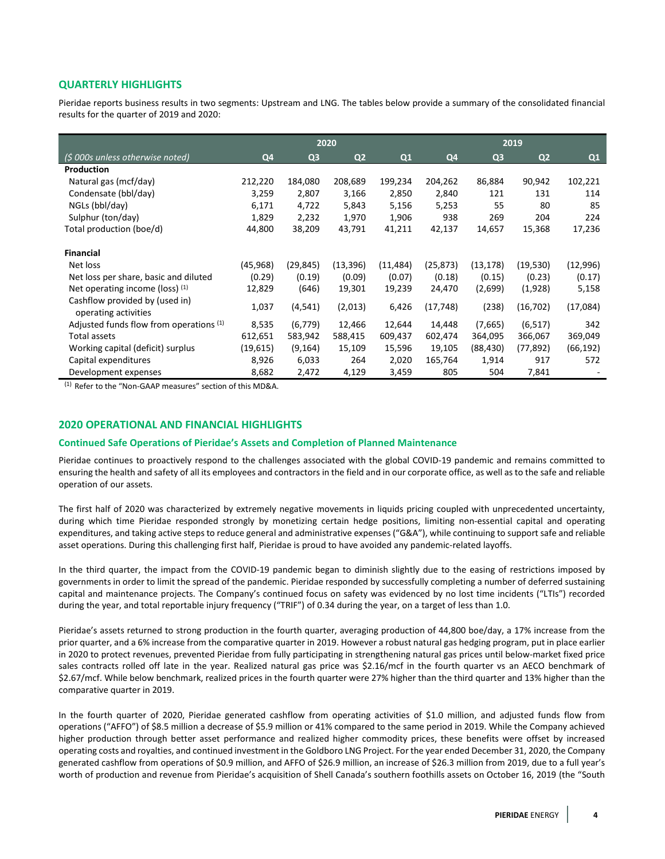# **QUARTERLY HIGHLIGHTS**

Pieridae reports business results in two segments: Upstream and LNG. The tables below provide a summary of the consolidated financial results for the quarter of 2019 and 2020:

|                                                        | 2020      |                |                |          | 2019      |                |                |          |
|--------------------------------------------------------|-----------|----------------|----------------|----------|-----------|----------------|----------------|----------|
| (\$ 000s unless otherwise noted)                       | Q4        | Q <sub>3</sub> | Q <sub>2</sub> | Q1       | Q4        | Q <sub>3</sub> | Q <sub>2</sub> | Q1       |
| Production                                             |           |                |                |          |           |                |                |          |
| Natural gas (mcf/day)                                  | 212,220   | 184,080        | 208,689        | 199,234  | 204,262   | 86,884         | 90,942         | 102,221  |
| Condensate (bbl/day)                                   | 3,259     | 2,807          | 3,166          | 2,850    | 2,840     | 121            | 131            | 114      |
| NGLs (bbl/day)                                         | 6,171     | 4,722          | 5,843          | 5,156    | 5,253     | 55             | 80             | 85       |
| Sulphur (ton/day)                                      | 1,829     | 2,232          | 1,970          | 1,906    | 938       | 269            | 204            | 224      |
| Total production (boe/d)                               | 44,800    | 38,209         | 43,791         | 41,211   | 42,137    | 14,657         | 15,368         | 17,236   |
| <b>Financial</b>                                       |           |                |                |          |           |                |                |          |
| Net loss                                               | (45, 968) | (29, 845)      | (13, 396)      | (11,484) | (25, 873) | (13, 178)      | (19, 530)      | (12,996) |
| Net loss per share, basic and diluted                  | (0.29)    | (0.19)         | (0.09)         | (0.07)   | (0.18)    | (0.15)         | (0.23)         | (0.17)   |
| Net operating income (loss) $(1)$                      | 12,829    | (646)          | 19,301         | 19,239   | 24,470    | (2,699)        | (1,928)        | 5,158    |
| Cashflow provided by (used in)<br>operating activities | 1,037     | (4, 541)       | (2,013)        | 6,426    | (17, 748) | (238)          | (16, 702)      | (17,084) |
| Adjusted funds flow from operations (1)                | 8,535     | (6, 779)       | 12,466         | 12,644   | 14,448    | (7,665)        | (6, 517)       | 342      |
| Total assets                                           | 612,651   | 583,942        | 588,415        | 609,437  | 602,474   | 364,095        | 366,067        | 369,049  |
| Working capital (deficit) surplus                      | (19, 615) | (9, 164)       | 15,109         | 15,596   | 19,105    | (88, 430)      | (77, 892)      | (66,192) |
| Capital expenditures                                   | 8,926     | 6,033          | 264            | 2,020    | 165,764   | 1,914          | 917            | 572      |
| Development expenses                                   | 8,682     | 2,472          | 4,129          | 3,459    | 805       | 504            | 7,841          |          |

(1) Refer to the "Non-GAAP measures" section of this MD&A.

## **2020 OPERATIONAL AND FINANCIAL HIGHLIGHTS**

#### **Continued Safe Operations of Pieridae's Assets and Completion of Planned Maintenance**

Pieridae continues to proactively respond to the challenges associated with the global COVID-19 pandemic and remains committed to ensuring the health and safety of all its employees and contractors in the field and in our corporate office, as well as to the safe and reliable operation of our assets.

The first half of 2020 was characterized by extremely negative movements in liquids pricing coupled with unprecedented uncertainty, during which time Pieridae responded strongly by monetizing certain hedge positions, limiting non-essential capital and operating expenditures, and taking active steps to reduce general and administrative expenses ("G&A"), while continuing to support safe and reliable asset operations. During this challenging first half, Pieridae is proud to have avoided any pandemic-related layoffs.

In the third quarter, the impact from the COVID-19 pandemic began to diminish slightly due to the easing of restrictions imposed by governments in order to limit the spread of the pandemic. Pieridae responded by successfully completing a number of deferred sustaining capital and maintenance projects. The Company's continued focus on safety was evidenced by no lost time incidents ("LTIs") recorded during the year, and total reportable injury frequency ("TRIF") of 0.34 during the year, on a target of less than 1.0.

Pieridae's assets returned to strong production in the fourth quarter, averaging production of 44,800 boe/day, a 17% increase from the prior quarter, and a 6% increase from the comparative quarter in 2019. However a robust natural gas hedging program, put in place earlier in 2020 to protect revenues, prevented Pieridae from fully participating in strengthening natural gas prices until below-market fixed price sales contracts rolled off late in the year. Realized natural gas price was \$2.16/mcf in the fourth quarter vs an AECO benchmark of \$2.67/mcf. While below benchmark, realized prices in the fourth quarter were 27% higher than the third quarter and 13% higher than the comparative quarter in 2019.

In the fourth quarter of 2020, Pieridae generated cashflow from operating activities of \$1.0 million, and adjusted funds flow from operations ("AFFO") of \$8.5 million a decrease of \$5.9 million or 41% compared to the same period in 2019. While the Company achieved higher production through better asset performance and realized higher commodity prices, these benefits were offset by increased operating costs and royalties, and continued investment in the Goldboro LNG Project. For the year ended December 31, 2020, the Company generated cashflow from operations of \$0.9 million, and AFFO of \$26.9 million, an increase of \$26.3 million from 2019, due to a full year's worth of production and revenue from Pieridae's acquisition of Shell Canada's southern foothills assets on October 16, 2019 (the "South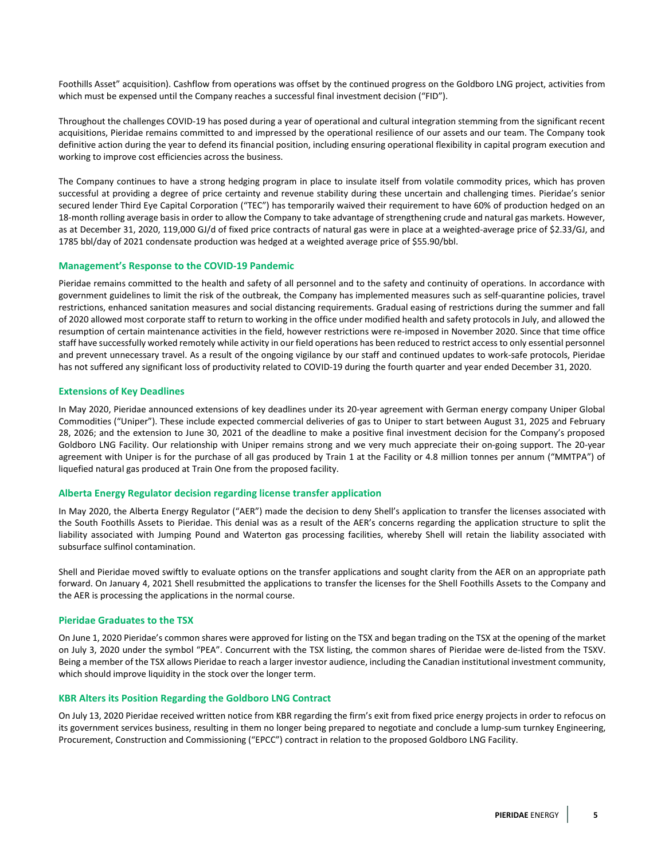Foothills Asset" acquisition). Cashflow from operations was offset by the continued progress on the Goldboro LNG project, activities from which must be expensed until the Company reaches a successful final investment decision ("FID").

Throughout the challenges COVID-19 has posed during a year of operational and cultural integration stemming from the significant recent acquisitions, Pieridae remains committed to and impressed by the operational resilience of our assets and our team. The Company took definitive action during the year to defend its financial position, including ensuring operational flexibility in capital program execution and working to improve cost efficiencies across the business.

The Company continues to have a strong hedging program in place to insulate itself from volatile commodity prices, which has proven successful at providing a degree of price certainty and revenue stability during these uncertain and challenging times. Pieridae's senior secured lender Third Eye Capital Corporation ("TEC") has temporarily waived their requirement to have 60% of production hedged on an 18-month rolling average basis in order to allow the Company to take advantage of strengthening crude and natural gas markets. However, as at December 31, 2020, 119,000 GJ/d of fixed price contracts of natural gas were in place at a weighted-average price of \$2.33/GJ, and 1785 bbl/day of 2021 condensate production was hedged at a weighted average price of \$55.90/bbl.

#### **Management's Response to the COVID-19 Pandemic**

Pieridae remains committed to the health and safety of all personnel and to the safety and continuity of operations. In accordance with government guidelines to limit the risk of the outbreak, the Company has implemented measures such as self-quarantine policies, travel restrictions, enhanced sanitation measures and social distancing requirements. Gradual easing of restrictions during the summer and fall of 2020 allowed most corporate staff to return to working in the office under modified health and safety protocols in July, and allowed the resumption of certain maintenance activities in the field, however restrictions were re-imposed in November 2020. Since that time office staff have successfully worked remotely while activity in our field operations has been reduced to restrict access to only essential personnel and prevent unnecessary travel. As a result of the ongoing vigilance by our staff and continued updates to work-safe protocols, Pieridae has not suffered any significant loss of productivity related to COVID-19 during the fourth quarter and year ended December 31, 2020.

## **Extensions of Key Deadlines**

In May 2020, Pieridae announced extensions of key deadlines under its 20-year agreement with German energy company Uniper Global Commodities ("Uniper"). These include expected commercial deliveries of gas to Uniper to start between August 31, 2025 and February 28, 2026; and the extension to June 30, 2021 of the deadline to make a positive final investment decision for the Company's proposed Goldboro LNG Facility. Our relationship with Uniper remains strong and we very much appreciate their on-going support. The 20-year agreement with Uniper is for the purchase of all gas produced by Train 1 at the Facility or 4.8 million tonnes per annum ("MMTPA") of liquefied natural gas produced at Train One from the proposed facility.

## **Alberta Energy Regulator decision regarding license transfer application**

In May 2020, the Alberta Energy Regulator ("AER") made the decision to deny Shell's application to transfer the licenses associated with the South Foothills Assets to Pieridae. This denial was as a result of the AER's concerns regarding the application structure to split the liability associated with Jumping Pound and Waterton gas processing facilities, whereby Shell will retain the liability associated with subsurface sulfinol contamination.

Shell and Pieridae moved swiftly to evaluate options on the transfer applications and sought clarity from the AER on an appropriate path forward. On January 4, 2021 Shell resubmitted the applications to transfer the licenses for the Shell Foothills Assets to the Company and the AER is processing the applications in the normal course.

#### **Pieridae Graduates to the TSX**

On June 1, 2020 Pieridae's common shares were approved for listing on the TSX and began trading on the TSX at the opening of the market on July 3, 2020 under the symbol "PEA". Concurrent with the TSX listing, the common shares of Pieridae were de-listed from the TSXV. Being a member of the TSX allows Pieridae to reach a larger investor audience, including the Canadian institutional investment community, which should improve liquidity in the stock over the longer term.

#### **KBR Alters its Position Regarding the Goldboro LNG Contract**

On July 13, 2020 Pieridae received written notice from KBR regarding the firm's exit from fixed price energy projects in order to refocus on its government services business, resulting in them no longer being prepared to negotiate and conclude a lump-sum turnkey Engineering, Procurement, Construction and Commissioning ("EPCC") contract in relation to the proposed Goldboro LNG Facility.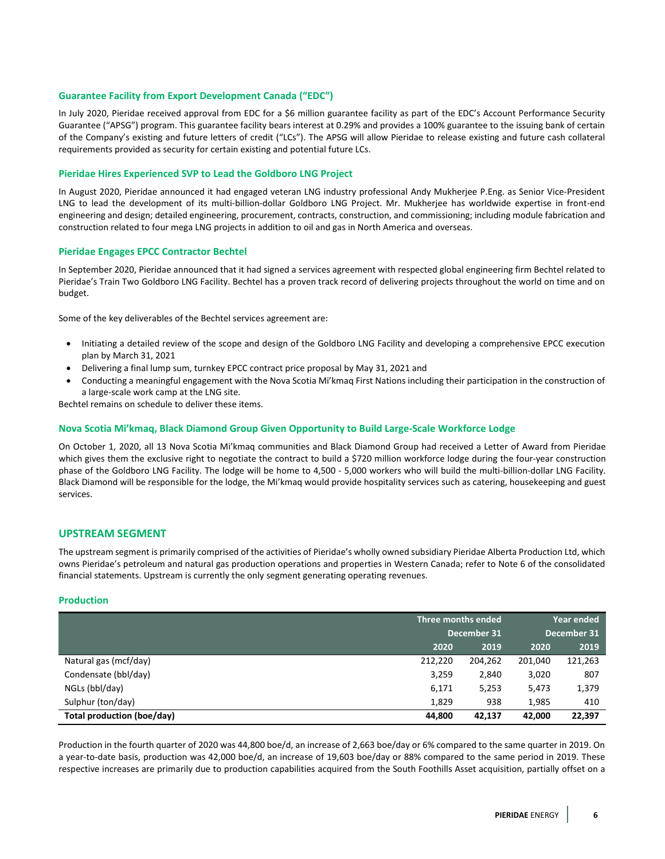## **Guarantee Facility from Export Development Canada ("EDC")**

In July 2020, Pieridae received approval from EDC for a \$6 million guarantee facility as part of the EDC's Account Performance Security Guarantee ("APSG") program. This guarantee facility bears interest at 0.29% and provides a 100% guarantee to the issuing bank of certain of the Company's existing and future letters of credit ("LCs"). The APSG will allow Pieridae to release existing and future cash collateral requirements provided as security for certain existing and potential future LCs.

## **Pieridae Hires Experienced SVP to Lead the Goldboro LNG Project**

In August 2020, Pieridae announced it had engaged veteran LNG industry professional Andy Mukherjee P.Eng. as Senior Vice-President LNG to lead the development of its multi-billion-dollar Goldboro LNG Project. Mr. Mukherjee has worldwide expertise in front-end engineering and design; detailed engineering, procurement, contracts, construction, and commissioning; including module fabrication and construction related to four mega LNG projects in addition to oil and gas in North America and overseas.

#### **Pieridae Engages EPCC Contractor Bechtel**

In September 2020, Pieridae announced that it had signed a services agreement with respected global engineering firm Bechtel related to Pieridae's Train Two Goldboro LNG Facility. Bechtel has a proven track record of delivering projects throughout the world on time and on budget.

Some of the key deliverables of the Bechtel services agreement are:

- Initiating a detailed review of the scope and design of the Goldboro LNG Facility and developing a comprehensive EPCC execution plan by March 31, 2021
- Delivering a final lump sum, turnkey EPCC contract price proposal by May 31, 2021 and
- Conducting a meaningful engagement with the Nova Scotia Mi'kmaq First Nations including their participation in the construction of a large-scale work camp at the LNG site.

Bechtel remains on schedule to deliver these items.

#### **Nova Scotia Mi'kmaq, Black Diamond Group Given Opportunity to Build Large-Scale Workforce Lodge**

On October 1, 2020, all 13 Nova Scotia Mi'kmaq communities and Black Diamond Group had received a Letter of Award from Pieridae which gives them the exclusive right to negotiate the contract to build a \$720 million workforce lodge during the four-year construction phase of the Goldboro LNG Facility. The lodge will be home to 4,500 - 5,000 workers who will build the multi-billion-dollar LNG Facility. Black Diamond will be responsible for the lodge, the Mi'kmaq would provide hospitality services such as catering, housekeeping and guest services.

## **UPSTREAM SEGMENT**

The upstream segment is primarily comprised of the activities of Pieridae's wholly owned subsidiary Pieridae Alberta Production Ltd, which owns Pieridae's petroleum and natural gas production operations and properties in Western Canada; refer to Note 6 of the consolidated financial statements. Upstream is currently the only segment generating operating revenues.

## **Production**

|                            | Three months ended |         | Year ended  |         |  |
|----------------------------|--------------------|---------|-------------|---------|--|
|                            | December 31        |         | December 31 |         |  |
|                            | 2020               | 2019    | 2020        | 2019    |  |
| Natural gas (mcf/day)      | 212,220            | 204.262 | 201,040     | 121,263 |  |
| Condensate (bbl/day)       | 3,259              | 2,840   | 3,020       | 807     |  |
| NGLs (bbl/day)             | 6,171              | 5,253   | 5,473       | 1,379   |  |
| Sulphur (ton/day)          | 1,829              | 938     | 1,985       | 410     |  |
| Total production (boe/day) | 44,800             | 42,137  | 42,000      | 22,397  |  |

Production in the fourth quarter of 2020 was 44,800 boe/d, an increase of 2,663 boe/day or 6% compared to the same quarter in 2019. On a year-to-date basis, production was 42,000 boe/d, an increase of 19,603 boe/day or 88% compared to the same period in 2019. These respective increases are primarily due to production capabilities acquired from the South Foothills Asset acquisition, partially offset on a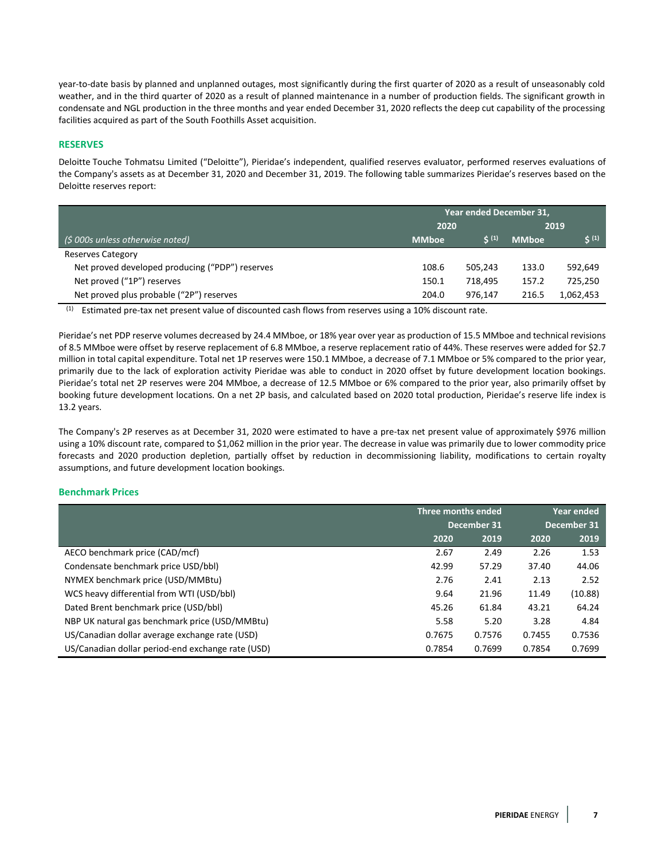year-to-date basis by planned and unplanned outages, most significantly during the first quarter of 2020 as a result of unseasonably cold weather, and in the third quarter of 2020 as a result of planned maintenance in a number of production fields. The significant growth in condensate and NGL production in the three months and year ended December 31, 2020 reflects the deep cut capability of the processing facilities acquired as part of the South Foothills Asset acquisition.

## **RESERVES**

Deloitte Touche Tohmatsu Limited ("Deloitte"), Pieridae's independent, qualified reserves evaluator, performed reserves evaluations of the Company's assets as at December 31, 2020 and December 31, 2019. The following table summarizes Pieridae's reserves based on the Deloitte reserves report:

|                                                 | Year ended December 31, |            |              |            |
|-------------------------------------------------|-------------------------|------------|--------------|------------|
|                                                 | 2020                    |            |              | 2019       |
| $\frac{1}{2}$ (\$ 000s unless otherwise noted)  | <b>MMboe</b>            | $\zeta(1)$ | <b>MMboe</b> | $\zeta(1)$ |
| <b>Reserves Category</b>                        |                         |            |              |            |
| Net proved developed producing ("PDP") reserves | 108.6                   | 505.243    | 133.0        | 592,649    |
| Net proved ("1P") reserves                      | 150.1                   | 718.495    | 157.2        | 725,250    |
| Net proved plus probable ("2P") reserves        | 204.0                   | 976.147    | 216.5        | 1,062,453  |

(1) Estimated pre-tax net present value of discounted cash flows from reserves using a 10% discount rate.

Pieridae's net PDP reserve volumes decreased by 24.4 MMboe, or 18% year over year as production of 15.5 MMboe and technical revisions of 8.5 MMboe were offset by reserve replacement of 6.8 MMboe, a reserve replacement ratio of 44%. These reserves were added for \$2.7 million in total capital expenditure. Total net 1P reserves were 150.1 MMboe, a decrease of 7.1 MMboe or 5% compared to the prior year, primarily due to the lack of exploration activity Pieridae was able to conduct in 2020 offset by future development location bookings. Pieridae's total net 2P reserves were 204 MMboe, a decrease of 12.5 MMboe or 6% compared to the prior year, also primarily offset by booking future development locations. On a net 2P basis, and calculated based on 2020 total production, Pieridae's reserve life index is 13.2 years.

The Company's 2P reserves as at December 31, 2020 were estimated to have a pre-tax net present value of approximately \$976 million using a 10% discount rate, compared to \$1,062 million in the prior year. The decrease in value was primarily due to lower commodity price forecasts and 2020 production depletion, partially offset by reduction in decommissioning liability, modifications to certain royalty assumptions, and future development location bookings.

## **Benchmark Prices**

|                                                   | Three months ended |        | Year ended  |         |
|---------------------------------------------------|--------------------|--------|-------------|---------|
|                                                   | December 31        |        | December 31 |         |
|                                                   | 2020               | 2019   | 2020        | 2019    |
| AECO benchmark price (CAD/mcf)                    | 2.67               | 2.49   | 2.26        | 1.53    |
| Condensate benchmark price USD/bbl)               | 42.99              | 57.29  | 37.40       | 44.06   |
| NYMEX benchmark price (USD/MMBtu)                 | 2.76               | 2.41   | 2.13        | 2.52    |
| WCS heavy differential from WTI (USD/bbl)         | 9.64               | 21.96  | 11.49       | (10.88) |
| Dated Brent benchmark price (USD/bbl)             | 45.26              | 61.84  | 43.21       | 64.24   |
| NBP UK natural gas benchmark price (USD/MMBtu)    | 5.58               | 5.20   | 3.28        | 4.84    |
| US/Canadian dollar average exchange rate (USD)    | 0.7675             | 0.7576 | 0.7455      | 0.7536  |
| US/Canadian dollar period-end exchange rate (USD) | 0.7854             | 0.7699 | 0.7854      | 0.7699  |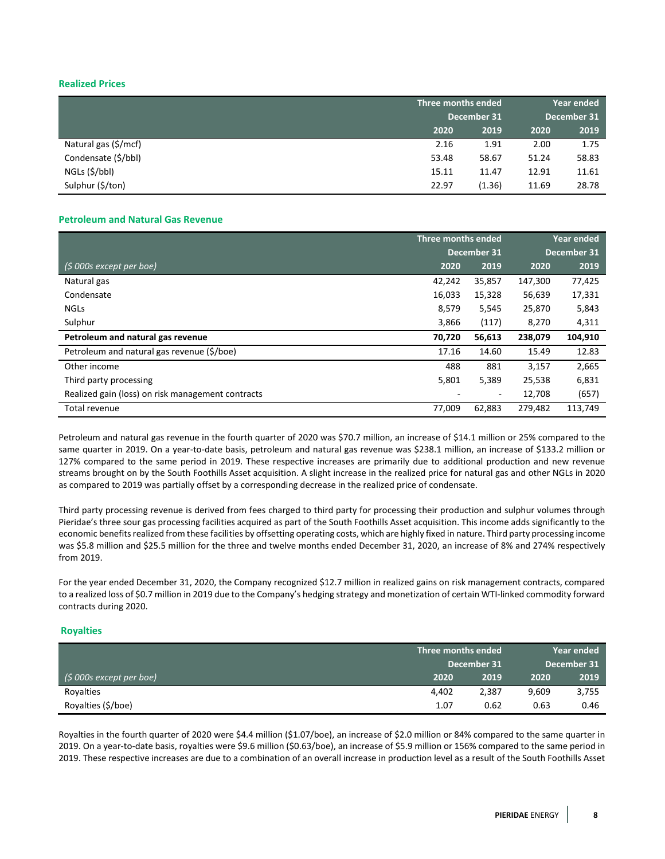# **Realized Prices**

|                      |       | Three months ended |       | <b>Year ended</b> |
|----------------------|-------|--------------------|-------|-------------------|
|                      |       | December 31        |       | December 31       |
|                      | 2020  | 2019               | 2020  | 2019              |
| Natural gas (\$/mcf) | 2.16  | 1.91               | 2.00  | 1.75              |
| Condensate (\$/bbl)  | 53.48 | 58.67              | 51.24 | 58.83             |
| NGLs (\$/bbl)        | 15.11 | 11.47              | 12.91 | 11.61             |
| Sulphur (\$/ton)     | 22.97 | (1.36)             | 11.69 | 28.78             |

## **Petroleum and Natural Gas Revenue**

|                                                   | Three months ended |        | <b>Year ended</b> |             |
|---------------------------------------------------|--------------------|--------|-------------------|-------------|
|                                                   | December 31        |        |                   | December 31 |
| $(5000s$ except per boe)                          | 2020               | 2019   | 2020              | 2019        |
| Natural gas                                       | 42,242             | 35,857 | 147,300           | 77,425      |
| Condensate                                        | 16,033             | 15,328 | 56,639            | 17,331      |
| <b>NGLS</b>                                       | 8,579              | 5,545  | 25,870            | 5,843       |
| Sulphur                                           | 3,866              | (117)  | 8,270             | 4,311       |
| Petroleum and natural gas revenue                 | 70,720             | 56,613 | 238,079           | 104,910     |
| Petroleum and natural gas revenue (\$/boe)        | 17.16              | 14.60  | 15.49             | 12.83       |
| Other income                                      | 488                | 881    | 3,157             | 2,665       |
| Third party processing                            | 5,801              | 5,389  | 25,538            | 6,831       |
| Realized gain (loss) on risk management contracts |                    | ٠      | 12,708            | (657)       |
| Total revenue                                     | 77,009             | 62,883 | 279.482           | 113,749     |

Petroleum and natural gas revenue in the fourth quarter of 2020 was \$70.7 million, an increase of \$14.1 million or 25% compared to the same quarter in 2019. On a year-to-date basis, petroleum and natural gas revenue was \$238.1 million, an increase of \$133.2 million or 127% compared to the same period in 2019. These respective increases are primarily due to additional production and new revenue streams brought on by the South Foothills Asset acquisition. A slight increase in the realized price for natural gas and other NGLs in 2020 as compared to 2019 was partially offset by a corresponding decrease in the realized price of condensate.

Third party processing revenue is derived from fees charged to third party for processing their production and sulphur volumes through Pieridae's three sour gas processing facilities acquired as part of the South Foothills Asset acquisition. This income adds significantly to the economic benefits realized from these facilities by offsetting operating costs, which are highly fixed in nature. Third party processing income was \$5.8 million and \$25.5 million for the three and twelve months ended December 31, 2020, an increase of 8% and 274% respectively from 2019.

For the year ended December 31, 2020, the Company recognized \$12.7 million in realized gains on risk management contracts, compared to a realized loss of \$0.7 million in 2019 due to the Company's hedging strategy and monetization of certain WTI-linked commodity forward contracts during 2020.

## **Royalties**

|                          |             | Three months ended |       | <b>Year ended</b> |
|--------------------------|-------------|--------------------|-------|-------------------|
|                          | December 31 |                    |       | December 31       |
| $(5000s$ except per boe) | 2020        | 2019               | 2020  | 2019              |
| Royalties                | 4.402       | 2,387              | 9,609 | 3,755             |
| Royalties (\$/boe)       | 1.07        | 0.62               | 0.63  | 0.46              |

Royalties in the fourth quarter of 2020 were \$4.4 million (\$1.07/boe), an increase of \$2.0 million or 84% compared to the same quarter in 2019. On a year-to-date basis, royalties were \$9.6 million (\$0.63/boe), an increase of \$5.9 million or 156% compared to the same period in 2019. These respective increases are due to a combination of an overall increase in production level as a result of the South Foothills Asset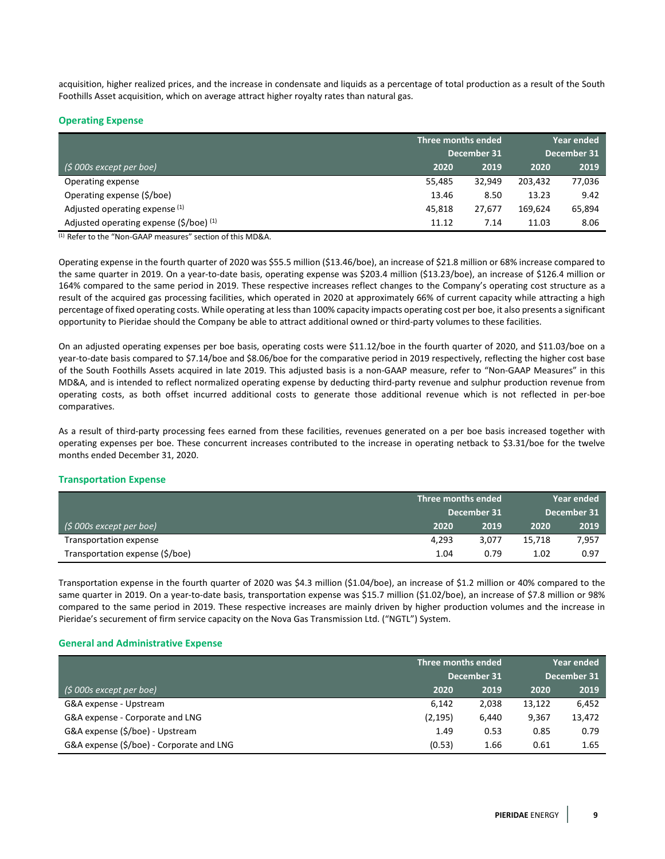acquisition, higher realized prices, and the increase in condensate and liquids as a percentage of total production as a result of the South Foothills Asset acquisition, which on average attract higher royalty rates than natural gas.

## **Operating Expense**

|                                                        | Three months ended |             | <b>Year ended</b> |             |
|--------------------------------------------------------|--------------------|-------------|-------------------|-------------|
|                                                        |                    | December 31 |                   | December 31 |
| $($ \$ 000s except per boe)                            | 2020               | 2019        | 2020              | 2019        |
| Operating expense                                      | 55.485             | 32.949      | 203,432           | 77,036      |
| Operating expense (\$/boe)                             | 13.46              | 8.50        | 13.23             | 9.42        |
| Adjusted operating expense (1)                         | 45.818             | 27.677      | 169.624           | 65,894      |
| Adjusted operating expense $(\frac{2}{5})$ (boe) $(1)$ | 11.12              | 7.14        | 11.03             | 8.06        |

(1) Refer to the "Non-GAAP measures" section of this MD&A.

Operating expense in the fourth quarter of 2020 was \$55.5 million (\$13.46/boe), an increase of \$21.8 million or 68% increase compared to the same quarter in 2019. On a year-to-date basis, operating expense was \$203.4 million (\$13.23/boe), an increase of \$126.4 million or 164% compared to the same period in 2019. These respective increases reflect changes to the Company's operating cost structure as a result of the acquired gas processing facilities, which operated in 2020 at approximately 66% of current capacity while attracting a high percentage of fixed operating costs. While operating at less than 100% capacity impacts operating cost per boe, it also presents a significant opportunity to Pieridae should the Company be able to attract additional owned or third-party volumes to these facilities.

On an adjusted operating expenses per boe basis, operating costs were \$11.12/boe in the fourth quarter of 2020, and \$11.03/boe on a year-to-date basis compared to \$7.14/boe and \$8.06/boe for the comparative period in 2019 respectively, reflecting the higher cost base of the South Foothills Assets acquired in late 2019. This adjusted basis is a non-GAAP measure, refer to "Non-GAAP Measures" in this MD&A, and is intended to reflect normalized operating expense by deducting third-party revenue and sulphur production revenue from operating costs, as both offset incurred additional costs to generate those additional revenue which is not reflected in per-boe comparatives.

As a result of third-party processing fees earned from these facilities, revenues generated on a per boe basis increased together with operating expenses per boe. These concurrent increases contributed to the increase in operating netback to \$3.31/boe for the twelve months ended December 31, 2020.

## **Transportation Expense**

|                                 | Three months ended | Year ended |             |  |
|---------------------------------|--------------------|------------|-------------|--|
|                                 | December 31        |            | December 31 |  |
| $(5000s$ except per boe)        | 2019<br>2020       | 2020       | 2019        |  |
| Transportation expense          | 4.293<br>3.077     | 15,718     | 7,957       |  |
| Transportation expense (\$/boe) | 0.79<br>1.04       | 1.02       | 0.97        |  |

Transportation expense in the fourth quarter of 2020 was \$4.3 million (\$1.04/boe), an increase of \$1.2 million or 40% compared to the same quarter in 2019. On a year-to-date basis, transportation expense was \$15.7 million (\$1.02/boe), an increase of \$7.8 million or 98% compared to the same period in 2019. These respective increases are mainly driven by higher production volumes and the increase in Pieridae's securement of firm service capacity on the Nova Gas Transmission Ltd. ("NGTL") System.

## **General and Administrative Expense**

|                                          |          | Three months ended |        | Year ended  |
|------------------------------------------|----------|--------------------|--------|-------------|
|                                          |          | December 31        |        | December 31 |
| (\$ 000s except per boe)                 | 2020     | 2019               | 2020   | 2019        |
| G&A expense - Upstream                   | 6.142    | 2,038              | 13,122 | 6,452       |
| G&A expense - Corporate and LNG          | (2, 195) | 6,440              | 9,367  | 13,472      |
| G&A expense (\$/boe) - Upstream          | 1.49     | 0.53               | 0.85   | 0.79        |
| G&A expense (\$/boe) - Corporate and LNG | (0.53)   | 1.66               | 0.61   | 1.65        |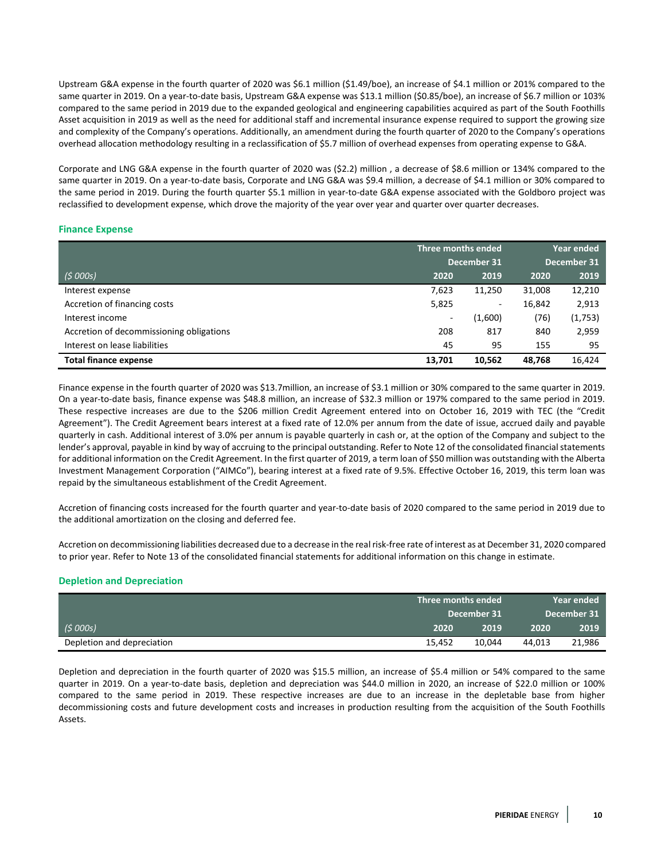Upstream G&A expense in the fourth quarter of 2020 was \$6.1 million (\$1.49/boe), an increase of \$4.1 million or 201% compared to the same quarter in 2019. On a year-to-date basis, Upstream G&A expense was \$13.1 million (\$0.85/boe), an increase of \$6.7 million or 103% compared to the same period in 2019 due to the expanded geological and engineering capabilities acquired as part of the South Foothills Asset acquisition in 2019 as well as the need for additional staff and incremental insurance expense required to support the growing size and complexity of the Company's operations. Additionally, an amendment during the fourth quarter of 2020 to the Company's operations overhead allocation methodology resulting in a reclassification of \$5.7 million of overhead expenses from operating expense to G&A.

Corporate and LNG G&A expense in the fourth quarter of 2020 was (\$2.2) million , a decrease of \$8.6 million or 134% compared to the same quarter in 2019. On a year-to-date basis, Corporate and LNG G&A was \$9.4 million, a decrease of \$4.1 million or 30% compared to the same period in 2019. During the fourth quarter \$5.1 million in year-to-date G&A expense associated with the Goldboro project was reclassified to development expense, which drove the majority of the year over year and quarter over quarter decreases.

## **Finance Expense**

|                                          | Three months ended       |         | <b>Year ended</b> |         |
|------------------------------------------|--------------------------|---------|-------------------|---------|
|                                          | December 31              |         | December 31       |         |
| (5000s)                                  | 2020                     | 2019    | 2020              | 2019    |
| Interest expense                         | 7,623                    | 11,250  | 31,008            | 12,210  |
| Accretion of financing costs             | 5,825                    | ۰.      | 16,842            | 2,913   |
| Interest income                          | $\overline{\phantom{a}}$ | (1,600) | (76)              | (1,753) |
| Accretion of decommissioning obligations | 208                      | 817     | 840               | 2,959   |
| Interest on lease liabilities            | 45                       | 95      | 155               | 95      |
| <b>Total finance expense</b>             | 13,701                   | 10.562  | 48,768            | 16,424  |

Finance expense in the fourth quarter of 2020 was \$13.7million, an increase of \$3.1 million or 30% compared to the same quarter in 2019. On a year-to-date basis, finance expense was \$48.8 million, an increase of \$32.3 million or 197% compared to the same period in 2019. These respective increases are due to the \$206 million Credit Agreement entered into on October 16, 2019 with TEC (the "Credit Agreement"). The Credit Agreement bears interest at a fixed rate of 12.0% per annum from the date of issue, accrued daily and payable quarterly in cash. Additional interest of 3.0% per annum is payable quarterly in cash or, at the option of the Company and subject to the lender's approval, payable in kind by way of accruing to the principal outstanding. Refer to Note 12 of the consolidated financial statements for additional information on the Credit Agreement. In the first quarter of 2019, a term loan of \$50 million was outstanding with the Alberta Investment Management Corporation ("AIMCo"), bearing interest at a fixed rate of 9.5%. Effective October 16, 2019, this term loan was repaid by the simultaneous establishment of the Credit Agreement.

Accretion of financing costs increased for the fourth quarter and year-to-date basis of 2020 compared to the same period in 2019 due to the additional amortization on the closing and deferred fee.

Accretion on decommissioning liabilities decreased due to a decrease in the real risk-free rate of interest as at December 31, 2020 compared to prior year. Refer to Note 13 of the consolidated financial statements for additional information on this change in estimate.

## **Depletion and Depreciation**

|                            |             | Three months ended |             | Year ended |  |
|----------------------------|-------------|--------------------|-------------|------------|--|
|                            | December 31 |                    | December 31 |            |  |
| (\$ 000s)                  | 2020        | 2019               | 2020        | 2019       |  |
| Depletion and depreciation | 15.452      | 10.044             |             | 21,986     |  |

Depletion and depreciation in the fourth quarter of 2020 was \$15.5 million, an increase of \$5.4 million or 54% compared to the same quarter in 2019. On a year-to-date basis, depletion and depreciation was \$44.0 million in 2020, an increase of \$22.0 million or 100% compared to the same period in 2019. These respective increases are due to an increase in the depletable base from higher decommissioning costs and future development costs and increases in production resulting from the acquisition of the South Foothills Assets.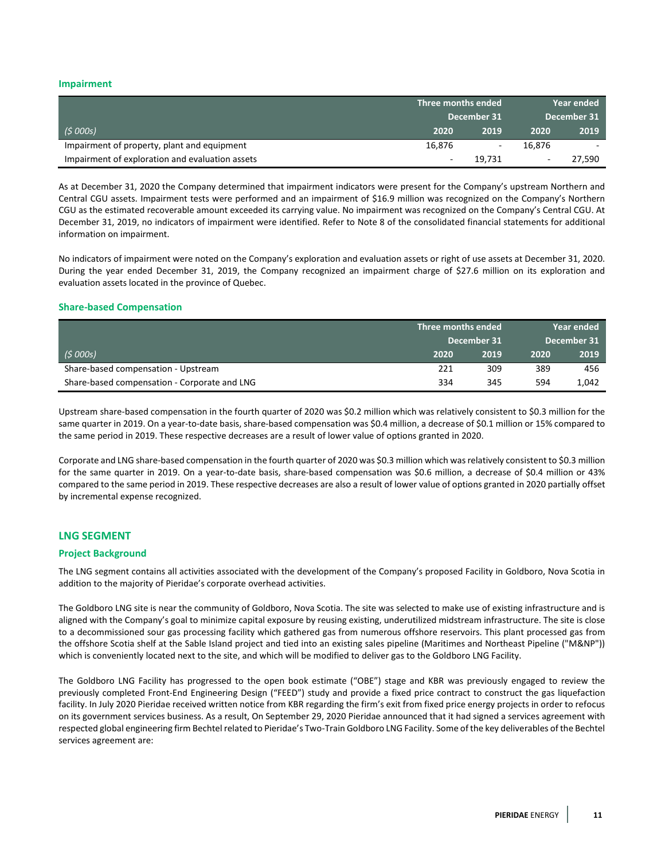## **Impairment**

|                                                 | Three months ended |                          | Year ended  |        |
|-------------------------------------------------|--------------------|--------------------------|-------------|--------|
|                                                 | December 31        |                          | December 31 |        |
| (5000s)                                         | 2020               | 2019                     | 2020        | 2019   |
| Impairment of property, plant and equipment     | 16,876             | $\overline{\phantom{a}}$ | 16.876      |        |
| Impairment of exploration and evaluation assets |                    | 19,731                   |             | 27.590 |

As at December 31, 2020 the Company determined that impairment indicators were present for the Company's upstream Northern and Central CGU assets. Impairment tests were performed and an impairment of \$16.9 million was recognized on the Company's Northern CGU as the estimated recoverable amount exceeded its carrying value. No impairment was recognized on the Company's Central CGU. At December 31, 2019, no indicators of impairment were identified. Refer to Note 8 of the consolidated financial statements for additional information on impairment.

No indicators of impairment were noted on the Company's exploration and evaluation assets or right of use assets at December 31, 2020. During the year ended December 31, 2019, the Company recognized an impairment charge of \$27.6 million on its exploration and evaluation assets located in the province of Quebec.

#### **Share-based Compensation**

|                                              | Three months ended |      | Year ended  |       |
|----------------------------------------------|--------------------|------|-------------|-------|
|                                              | December 31        |      | December 31 |       |
| (5000s)                                      | 2020               | 2019 | 2020        | 2019  |
| Share-based compensation - Upstream          | 221                | 309  | 389         | 456   |
| Share-based compensation - Corporate and LNG | 334                | 345  | 594         | 1.042 |

Upstream share-based compensation in the fourth quarter of 2020 was \$0.2 million which was relatively consistent to \$0.3 million for the same quarter in 2019. On a year-to-date basis, share-based compensation was \$0.4 million, a decrease of \$0.1 million or 15% compared to the same period in 2019. These respective decreases are a result of lower value of options granted in 2020.

Corporate and LNG share-based compensation in the fourth quarter of 2020 was \$0.3 million which was relatively consistent to \$0.3 million for the same quarter in 2019. On a year-to-date basis, share-based compensation was \$0.6 million, a decrease of \$0.4 million or 43% compared to the same period in 2019. These respective decreases are also a result of lower value of options granted in 2020 partially offset by incremental expense recognized.

## **LNG SEGMENT**

## **Project Background**

The LNG segment contains all activities associated with the development of the Company's proposed Facility in Goldboro, Nova Scotia in addition to the majority of Pieridae's corporate overhead activities.

The Goldboro LNG site is near the community of Goldboro, Nova Scotia. The site was selected to make use of existing infrastructure and is aligned with the Company's goal to minimize capital exposure by reusing existing, underutilized midstream infrastructure. The site is close to a decommissioned sour gas processing facility which gathered gas from numerous offshore reservoirs. This plant processed gas from the offshore Scotia shelf at the Sable Island project and tied into an existing sales pipeline (Maritimes and Northeast Pipeline ("M&NP")) which is conveniently located next to the site, and which will be modified to deliver gas to the Goldboro LNG Facility.

The Goldboro LNG Facility has progressed to the open book estimate ("OBE") stage and KBR was previously engaged to review the previously completed Front-End Engineering Design ("FEED") study and provide a fixed price contract to construct the gas liquefaction facility. In July 2020 Pieridae received written notice from KBR regarding the firm's exit from fixed price energy projects in order to refocus on its government services business. As a result, On September 29, 2020 Pieridae announced that it had signed a services agreement with respected global engineering firm Bechtel related to Pieridae's Two-Train Goldboro LNG Facility. Some of the key deliverables of the Bechtel services agreement are: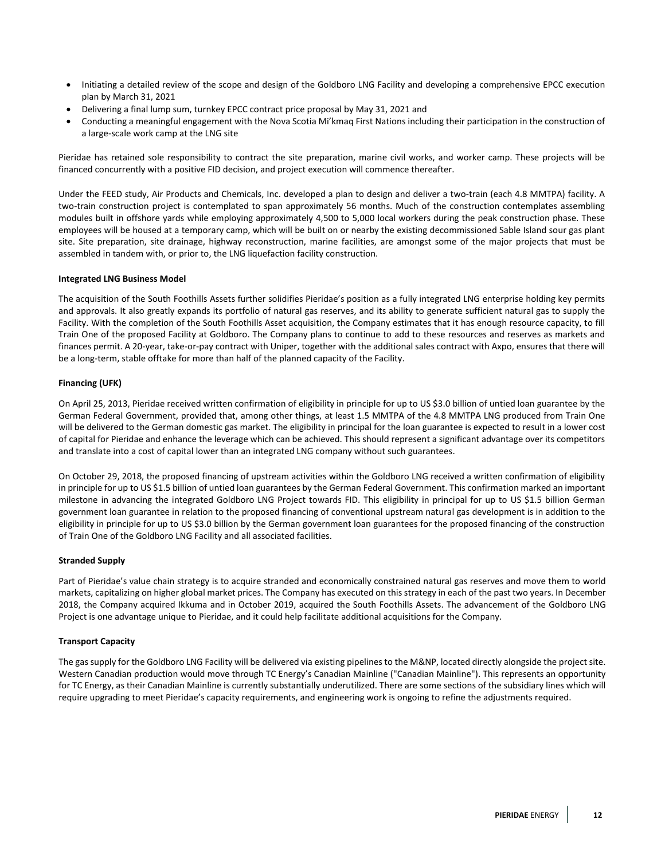- Initiating a detailed review of the scope and design of the Goldboro LNG Facility and developing a comprehensive EPCC execution plan by March 31, 2021
- Delivering a final lump sum, turnkey EPCC contract price proposal by May 31, 2021 and
- Conducting a meaningful engagement with the Nova Scotia Mi'kmaq First Nations including their participation in the construction of a large-scale work camp at the LNG site

Pieridae has retained sole responsibility to contract the site preparation, marine civil works, and worker camp. These projects will be financed concurrently with a positive FID decision, and project execution will commence thereafter.

Under the FEED study, Air Products and Chemicals, Inc. developed a plan to design and deliver a two-train (each 4.8 MMTPA) facility. A two-train construction project is contemplated to span approximately 56 months. Much of the construction contemplates assembling modules built in offshore yards while employing approximately 4,500 to 5,000 local workers during the peak construction phase. These employees will be housed at a temporary camp, which will be built on or nearby the existing decommissioned Sable Island sour gas plant site. Site preparation, site drainage, highway reconstruction, marine facilities, are amongst some of the major projects that must be assembled in tandem with, or prior to, the LNG liquefaction facility construction.

## **Integrated LNG Business Model**

The acquisition of the South Foothills Assets further solidifies Pieridae's position as a fully integrated LNG enterprise holding key permits and approvals. It also greatly expands its portfolio of natural gas reserves, and its ability to generate sufficient natural gas to supply the Facility. With the completion of the South Foothills Asset acquisition, the Company estimates that it has enough resource capacity, to fill Train One of the proposed Facility at Goldboro. The Company plans to continue to add to these resources and reserves as markets and finances permit. A 20-year, take-or-pay contract with Uniper, together with the additional sales contract with Axpo, ensures that there will be a long-term, stable offtake for more than half of the planned capacity of the Facility.

## **Financing (UFK)**

On April 25, 2013, Pieridae received written confirmation of eligibility in principle for up to US \$3.0 billion of untied loan guarantee by the German Federal Government, provided that, among other things, at least 1.5 MMTPA of the 4.8 MMTPA LNG produced from Train One will be delivered to the German domestic gas market. The eligibility in principal for the loan guarantee is expected to result in a lower cost of capital for Pieridae and enhance the leverage which can be achieved. This should represent a significant advantage over its competitors and translate into a cost of capital lower than an integrated LNG company without such guarantees.

On October 29, 2018, the proposed financing of upstream activities within the Goldboro LNG received a written confirmation of eligibility in principle for up to US \$1.5 billion of untied loan guarantees by the German Federal Government. This confirmation marked an important milestone in advancing the integrated Goldboro LNG Project towards FID. This eligibility in principal for up to US \$1.5 billion German government loan guarantee in relation to the proposed financing of conventional upstream natural gas development is in addition to the eligibility in principle for up to US \$3.0 billion by the German government loan guarantees for the proposed financing of the construction of Train One of the Goldboro LNG Facility and all associated facilities.

#### **Stranded Supply**

Part of Pieridae's value chain strategy is to acquire stranded and economically constrained natural gas reserves and move them to world markets, capitalizing on higher global market prices. The Company has executed on this strategy in each of the past two years. In December 2018, the Company acquired Ikkuma and in October 2019, acquired the South Foothills Assets. The advancement of the Goldboro LNG Project is one advantage unique to Pieridae, and it could help facilitate additional acquisitions for the Company.

## **Transport Capacity**

The gas supply for the Goldboro LNG Facility will be delivered via existing pipelines to the M&NP, located directly alongside the project site. Western Canadian production would move through TC Energy's Canadian Mainline ("Canadian Mainline"). This represents an opportunity for TC Energy, as their Canadian Mainline is currently substantially underutilized. There are some sections of the subsidiary lines which will require upgrading to meet Pieridae's capacity requirements, and engineering work is ongoing to refine the adjustments required.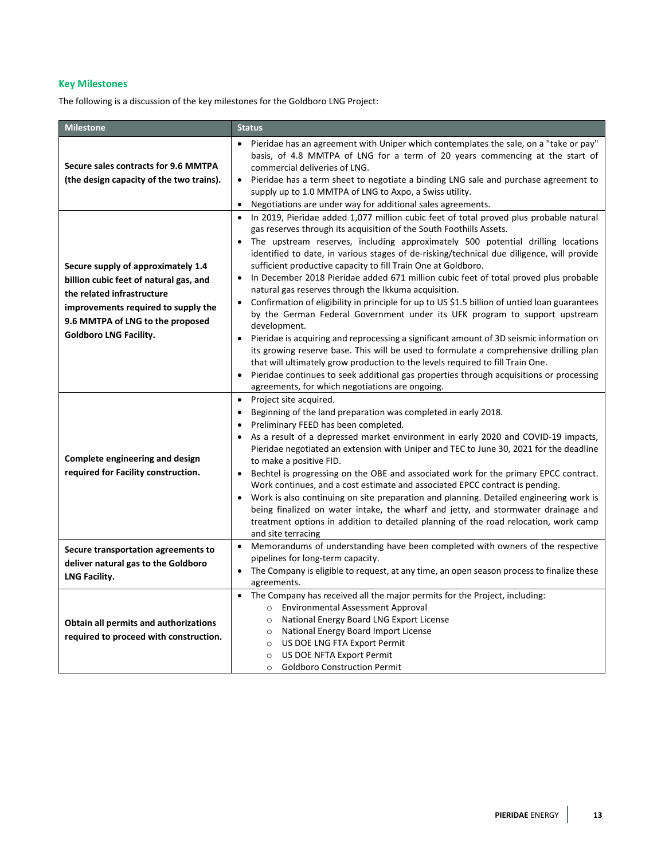# **Key Milestones**

The following is a discussion of the key milestones for the Goldboro LNG Project:

| <b>Milestone</b>                                                                                                                                                                                                       | <b>Status</b>                                                                                                                                                                                                                                                                                                                                                                                                                                                                                                                                                                                                                                                                                                                                                                                                                                                                                                                                                                                                                                                                                                                                                                                                                                        |
|------------------------------------------------------------------------------------------------------------------------------------------------------------------------------------------------------------------------|------------------------------------------------------------------------------------------------------------------------------------------------------------------------------------------------------------------------------------------------------------------------------------------------------------------------------------------------------------------------------------------------------------------------------------------------------------------------------------------------------------------------------------------------------------------------------------------------------------------------------------------------------------------------------------------------------------------------------------------------------------------------------------------------------------------------------------------------------------------------------------------------------------------------------------------------------------------------------------------------------------------------------------------------------------------------------------------------------------------------------------------------------------------------------------------------------------------------------------------------------|
| Secure sales contracts for 9.6 MMTPA<br>(the design capacity of the two trains).                                                                                                                                       | Pieridae has an agreement with Uniper which contemplates the sale, on a "take or pay"<br>$\bullet$<br>basis, of 4.8 MMTPA of LNG for a term of 20 years commencing at the start of<br>commercial deliveries of LNG.<br>Pieridae has a term sheet to negotiate a binding LNG sale and purchase agreement to<br>$\bullet$<br>supply up to 1.0 MMTPA of LNG to Axpo, a Swiss utility.<br>Negotiations are under way for additional sales agreements.<br>$\bullet$                                                                                                                                                                                                                                                                                                                                                                                                                                                                                                                                                                                                                                                                                                                                                                                       |
| Secure supply of approximately 1.4<br>billion cubic feet of natural gas, and<br>the related infrastructure<br>improvements required to supply the<br>9.6 MMTPA of LNG to the proposed<br><b>Goldboro LNG Facility.</b> | In 2019, Pieridae added 1,077 million cubic feet of total proved plus probable natural<br>$\bullet$<br>gas reserves through its acquisition of the South Foothills Assets.<br>The upstream reserves, including approximately 500 potential drilling locations<br>identified to date, in various stages of de-risking/technical due diligence, will provide<br>sufficient productive capacity to fill Train One at Goldboro.<br>In December 2018 Pieridae added 671 million cubic feet of total proved plus probable<br>$\bullet$<br>natural gas reserves through the Ikkuma acquisition.<br>Confirmation of eligibility in principle for up to US \$1.5 billion of untied loan guarantees<br>$\bullet$<br>by the German Federal Government under its UFK program to support upstream<br>development.<br>Pieridae is acquiring and reprocessing a significant amount of 3D seismic information on<br>$\bullet$<br>its growing reserve base. This will be used to formulate a comprehensive drilling plan<br>that will ultimately grow production to the levels required to fill Train One.<br>Pieridae continues to seek additional gas properties through acquisitions or processing<br>$\bullet$<br>agreements, for which negotiations are ongoing. |
| Complete engineering and design<br>required for Facility construction.                                                                                                                                                 | Project site acquired.<br>$\bullet$<br>Beginning of the land preparation was completed in early 2018.<br>$\bullet$<br>Preliminary FEED has been completed.<br>$\bullet$<br>As a result of a depressed market environment in early 2020 and COVID-19 impacts,<br>Pieridae negotiated an extension with Uniper and TEC to June 30, 2021 for the deadline<br>to make a positive FID.<br>Bechtel is progressing on the OBE and associated work for the primary EPCC contract.<br>Work continues, and a cost estimate and associated EPCC contract is pending.<br>Work is also continuing on site preparation and planning. Detailed engineering work is<br>$\bullet$<br>being finalized on water intake, the wharf and jetty, and stormwater drainage and<br>treatment options in addition to detailed planning of the road relocation, work camp<br>and site terracing                                                                                                                                                                                                                                                                                                                                                                                  |
| Secure transportation agreements to<br>deliver natural gas to the Goldboro<br>LNG Facility.                                                                                                                            | Memorandums of understanding have been completed with owners of the respective<br>$\bullet$<br>pipelines for long-term capacity.<br>The Company is eligible to request, at any time, an open season process to finalize these<br>$\bullet$<br>agreements.                                                                                                                                                                                                                                                                                                                                                                                                                                                                                                                                                                                                                                                                                                                                                                                                                                                                                                                                                                                            |
| Obtain all permits and authorizations<br>required to proceed with construction.                                                                                                                                        | The Company has received all the major permits for the Project, including:<br>$\bullet$<br>o Environmental Assessment Approval<br>National Energy Board LNG Export License<br>$\circ$<br>National Energy Board Import License<br>$\circ$<br>US DOE LNG FTA Export Permit<br>$\circ$<br>US DOE NFTA Export Permit<br>$\circ$<br><b>Goldboro Construction Permit</b><br>$\circ$                                                                                                                                                                                                                                                                                                                                                                                                                                                                                                                                                                                                                                                                                                                                                                                                                                                                        |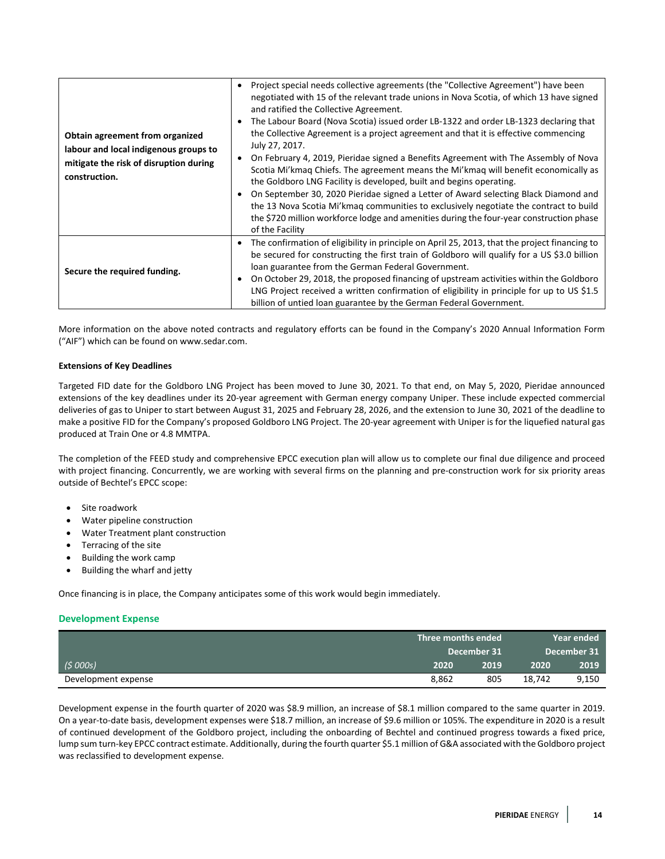| Obtain agreement from organized<br>labour and local indigenous groups to<br>mitigate the risk of disruption during<br>construction. | Project special needs collective agreements (the "Collective Agreement") have been<br>negotiated with 15 of the relevant trade unions in Nova Scotia, of which 13 have signed<br>and ratified the Collective Agreement.<br>The Labour Board (Nova Scotia) issued order LB-1322 and order LB-1323 declaring that<br>the Collective Agreement is a project agreement and that it is effective commencing<br>July 27, 2017.<br>On February 4, 2019, Pieridae signed a Benefits Agreement with The Assembly of Nova<br>Scotia Mi'kmag Chiefs. The agreement means the Mi'kmag will benefit economically as<br>the Goldboro LNG Facility is developed, built and begins operating.<br>On September 30, 2020 Pieridae signed a Letter of Award selecting Black Diamond and<br>the 13 Nova Scotia Mi'kmag communities to exclusively negotiate the contract to build<br>the \$720 million workforce lodge and amenities during the four-year construction phase<br>of the Facility |
|-------------------------------------------------------------------------------------------------------------------------------------|-----------------------------------------------------------------------------------------------------------------------------------------------------------------------------------------------------------------------------------------------------------------------------------------------------------------------------------------------------------------------------------------------------------------------------------------------------------------------------------------------------------------------------------------------------------------------------------------------------------------------------------------------------------------------------------------------------------------------------------------------------------------------------------------------------------------------------------------------------------------------------------------------------------------------------------------------------------------------------|
| Secure the required funding.                                                                                                        | The confirmation of eligibility in principle on April 25, 2013, that the project financing to<br>be secured for constructing the first train of Goldboro will qualify for a US \$3.0 billion<br>loan guarantee from the German Federal Government.<br>On October 29, 2018, the proposed financing of upstream activities within the Goldboro<br>LNG Project received a written confirmation of eligibility in principle for up to US \$1.5<br>billion of untied loan guarantee by the German Federal Government.                                                                                                                                                                                                                                                                                                                                                                                                                                                            |

More information on the above noted contracts and regulatory efforts can be found in the Company's 2020 Annual Information Form ("AIF") which can be found on [www.sedar.com.](http://www.sedar.com/)

#### **Extensions of Key Deadlines**

Targeted FID date for the Goldboro LNG Project has been moved to June 30, 2021. To that end, on May 5, 2020, Pieridae announced extensions of the key deadlines under its 20-year agreement with German energy company Uniper. These include expected commercial deliveries of gas to Uniper to start between August 31, 2025 and February 28, 2026, and the extension to June 30, 2021 of the deadline to make a positive FID for the Company's proposed Goldboro LNG Project. The 20-year agreement with Uniper is for the liquefied natural gas produced at Train One or 4.8 MMTPA.

The completion of the FEED study and comprehensive EPCC execution plan will allow us to complete our final due diligence and proceed with project financing. Concurrently, we are working with several firms on the planning and pre-construction work for six priority areas outside of Bechtel's EPCC scope:

- Site roadwork
- Water pipeline construction
- Water Treatment plant construction
- Terracing of the site
- Building the work camp
- Building the wharf and jetty

Once financing is in place, the Company anticipates some of this work would begin immediately.

#### **Development Expense**

|                     | Three months ended |      |             | Year ended |
|---------------------|--------------------|------|-------------|------------|
|                     | December 31        |      | December 31 |            |
| (5000s)             | 2020               | 2019 | 2020        | 2019       |
| Development expense | 8.862              | 805  | 18.742      | 9,150      |

Development expense in the fourth quarter of 2020 was \$8.9 million, an increase of \$8.1 million compared to the same quarter in 2019. On a year-to-date basis, development expenses were \$18.7 million, an increase of \$9.6 million or 105%. The expenditure in 2020 is a result of continued development of the Goldboro project, including the onboarding of Bechtel and continued progress towards a fixed price, lump sum turn-key EPCC contract estimate. Additionally, during the fourth quarter \$5.1 million of G&A associated with the Goldboro project was reclassified to development expense.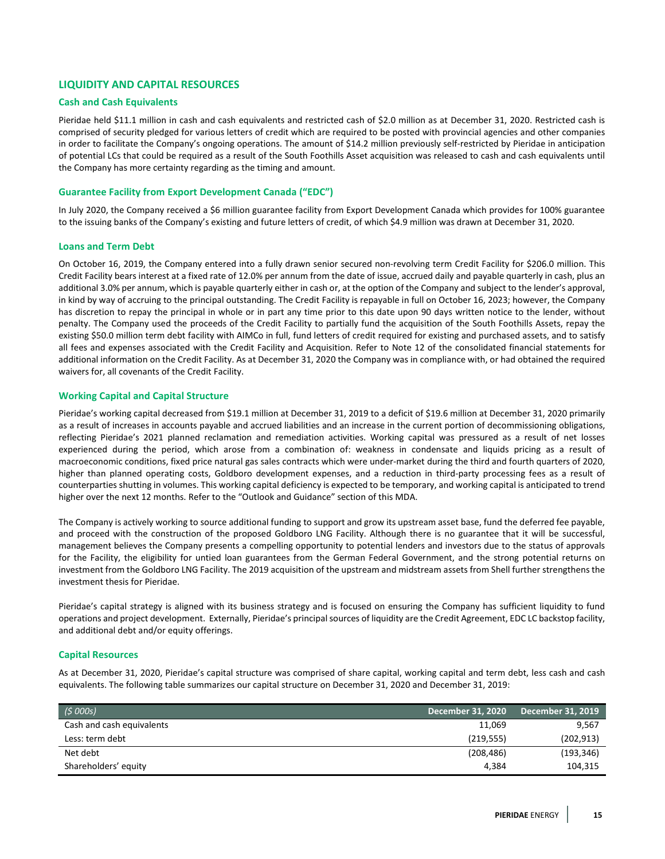# **LIQUIDITY AND CAPITAL RESOURCES**

## **Cash and Cash Equivalents**

Pieridae held \$11.1 million in cash and cash equivalents and restricted cash of \$2.0 million as at December 31, 2020. Restricted cash is comprised of security pledged for various letters of credit which are required to be posted with provincial agencies and other companies in order to facilitate the Company's ongoing operations. The amount of \$14.2 million previously self-restricted by Pieridae in anticipation of potential LCs that could be required as a result of the South Foothills Asset acquisition was released to cash and cash equivalents until the Company has more certainty regarding as the timing and amount.

## **Guarantee Facility from Export Development Canada ("EDC")**

In July 2020, the Company received a \$6 million guarantee facility from Export Development Canada which provides for 100% guarantee to the issuing banks of the Company's existing and future letters of credit, of which \$4.9 million was drawn at December 31, 2020.

#### **Loans and Term Debt**

On October 16, 2019, the Company entered into a fully drawn senior secured non-revolving term Credit Facility for \$206.0 million. This Credit Facility bears interest at a fixed rate of 12.0% per annum from the date of issue, accrued daily and payable quarterly in cash, plus an additional 3.0% per annum, which is payable quarterly either in cash or, at the option of the Company and subject to the lender's approval, in kind by way of accruing to the principal outstanding. The Credit Facility is repayable in full on October 16, 2023; however, the Company has discretion to repay the principal in whole or in part any time prior to this date upon 90 days written notice to the lender, without penalty. The Company used the proceeds of the Credit Facility to partially fund the acquisition of the South Foothills Assets, repay the existing \$50.0 million term debt facility with AIMCo in full, fund letters of credit required for existing and purchased assets, and to satisfy all fees and expenses associated with the Credit Facility and Acquisition. Refer to Note 12 of the consolidated financial statements for additional information on the Credit Facility. As at December 31, 2020 the Company was in compliance with, or had obtained the required waivers for, all covenants of the Credit Facility.

#### **Working Capital and Capital Structure**

Pieridae's working capital decreased from \$19.1 million at December 31, 2019 to a deficit of \$19.6 million at December 31, 2020 primarily as a result of increases in accounts payable and accrued liabilities and an increase in the current portion of decommissioning obligations, reflecting Pieridae's 2021 planned reclamation and remediation activities. Working capital was pressured as a result of net losses experienced during the period, which arose from a combination of: weakness in condensate and liquids pricing as a result of macroeconomic conditions, fixed price natural gas sales contracts which were under-market during the third and fourth quarters of 2020, higher than planned operating costs, Goldboro development expenses, and a reduction in third-party processing fees as a result of counterparties shutting in volumes. This working capital deficiency is expected to be temporary, and working capital is anticipated to trend higher over the next 12 months. Refer to the "Outlook and Guidance" section of this MDA.

The Company is actively working to source additional funding to support and grow its upstream asset base, fund the deferred fee payable, and proceed with the construction of the proposed Goldboro LNG Facility. Although there is no guarantee that it will be successful, management believes the Company presents a compelling opportunity to potential lenders and investors due to the status of approvals for the Facility, the eligibility for untied loan guarantees from the German Federal Government, and the strong potential returns on investment from the Goldboro LNG Facility. The 2019 acquisition of the upstream and midstream assets from Shell further strengthens the investment thesis for Pieridae.

Pieridae's capital strategy is aligned with its business strategy and is focused on ensuring the Company has sufficient liquidity to fund operations and project development. Externally, Pieridae's principal sources of liquidity are the Credit Agreement, EDC LC backstop facility, and additional debt and/or equity offerings.

## **Capital Resources**

As at December 31, 2020, Pieridae's capital structure was comprised of share capital, working capital and term debt, less cash and cash equivalents. The following table summarizes our capital structure on December 31, 2020 and December 31, 2019:

| (\$ 000s)                 | <b>December 31, 2020</b> | December 31, 2019 |
|---------------------------|--------------------------|-------------------|
| Cash and cash equivalents | 11,069                   | 9,567             |
| Less: term debt           | (219, 555)               | (202, 913)        |
| Net debt                  | (208, 486)               | (193, 346)        |
| Shareholders' equity      | 4.384                    | 104,315           |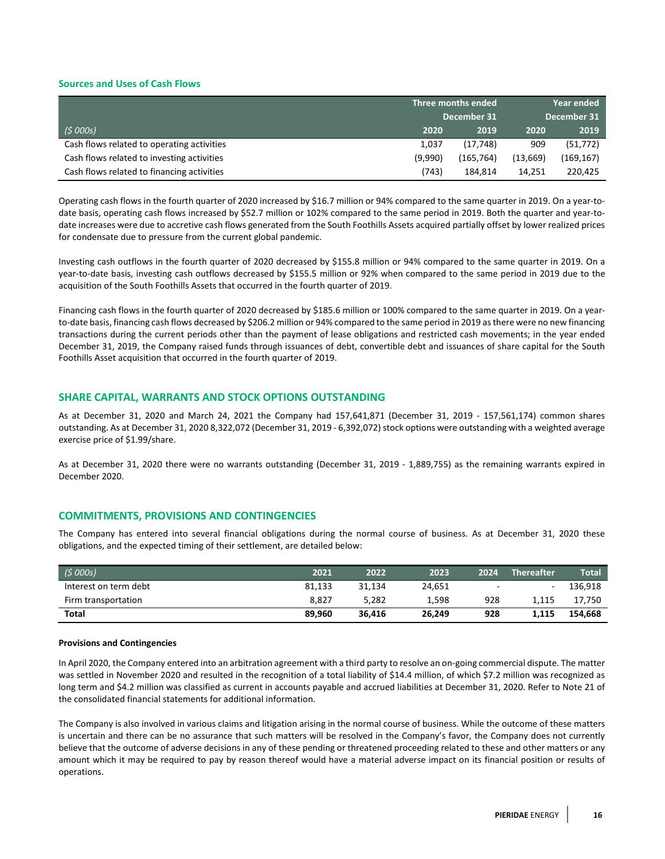## **Sources and Uses of Cash Flows**

| Three months ended                         |         |             |             | <b>Year ended</b> |  |
|--------------------------------------------|---------|-------------|-------------|-------------------|--|
|                                            |         | December 31 | December 31 |                   |  |
| (5000s)                                    | 2020    | 2019        | 2020        | 2019              |  |
| Cash flows related to operating activities | 1,037   | (17, 748)   | 909         | (51, 772)         |  |
| Cash flows related to investing activities | (9,990) | (165, 764)  | (13,669)    | (169, 167)        |  |
| Cash flows related to financing activities | (743)   | 184,814     | 14.251      | 220,425           |  |

Operating cash flows in the fourth quarter of 2020 increased by \$16.7 million or 94% compared to the same quarter in 2019. On a year-todate basis, operating cash flows increased by \$52.7 million or 102% compared to the same period in 2019. Both the quarter and year-todate increases were due to accretive cash flows generated from the South Foothills Assets acquired partially offset by lower realized prices for condensate due to pressure from the current global pandemic.

Investing cash outflows in the fourth quarter of 2020 decreased by \$155.8 million or 94% compared to the same quarter in 2019. On a year-to-date basis, investing cash outflows decreased by \$155.5 million or 92% when compared to the same period in 2019 due to the acquisition of the South Foothills Assets that occurred in the fourth quarter of 2019.

Financing cash flows in the fourth quarter of 2020 decreased by \$185.6 million or 100% compared to the same quarter in 2019. On a yearto-date basis, financing cash flows decreased by \$206.2 million or 94% compared to the same period in 2019 as there were no new financing transactions during the current periods other than the payment of lease obligations and restricted cash movements; in the year ended December 31, 2019, the Company raised funds through issuances of debt, convertible debt and issuances of share capital for the South Foothills Asset acquisition that occurred in the fourth quarter of 2019.

## **SHARE CAPITAL, WARRANTS AND STOCK OPTIONS OUTSTANDING**

As at December 31, 2020 and March 24, 2021 the Company had 157,641,871 (December 31, 2019 - 157,561,174) common shares outstanding. As at December 31, 2020 8,322,072 (December 31, 2019 - 6,392,072) stock options were outstanding with a weighted average exercise price of \$1.99/share.

As at December 31, 2020 there were no warrants outstanding (December 31, 2019 - 1,889,755) as the remaining warrants expired in December 2020.

# **COMMITMENTS, PROVISIONS AND CONTINGENCIES**

The Company has entered into several financial obligations during the normal course of business. As at December 31, 2020 these obligations, and the expected timing of their settlement, are detailed below:

| (5000s)               | 2021   | 2022   | 2023   | 2024   | <b>Thereafter</b> | <b>Total</b> |
|-----------------------|--------|--------|--------|--------|-------------------|--------------|
| Interest on term debt | 81.133 | 31.134 | 24.651 | $\sim$ | $\sim$            | 136.918      |
| Firm transportation   | 8.827  | 5.282  | 1.598  | 928    | 1.115             | 17.750       |
| <b>Total</b>          | 89,960 | 36.416 | 26,249 | 928    | 1,115             | 154.668      |

#### **Provisions and Contingencies**

In April 2020, the Company entered into an arbitration agreement with a third party to resolve an on-going commercial dispute. The matter was settled in November 2020 and resulted in the recognition of a total liability of \$14.4 million, of which \$7.2 million was recognized as long term and \$4.2 million was classified as current in accounts payable and accrued liabilities at December 31, 2020. Refer to Note 21 of the consolidated financial statements for additional information.

The Company is also involved in various claims and litigation arising in the normal course of business. While the outcome of these matters is uncertain and there can be no assurance that such matters will be resolved in the Company's favor, the Company does not currently believe that the outcome of adverse decisions in any of these pending or threatened proceeding related to these and other matters or any amount which it may be required to pay by reason thereof would have a material adverse impact on its financial position or results of operations.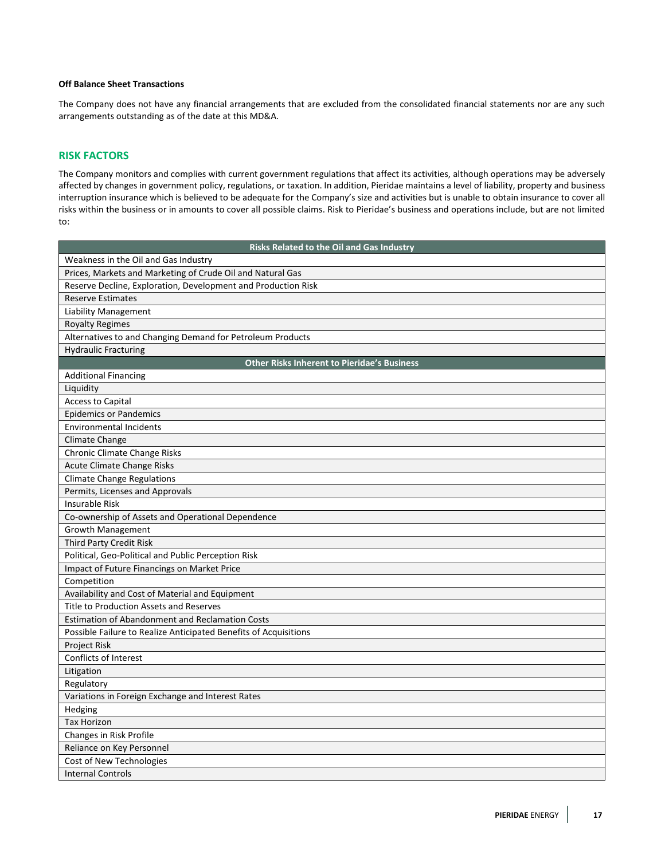# **Off Balance Sheet Transactions**

The Company does not have any financial arrangements that are excluded from the consolidated financial statements nor are any such arrangements outstanding as of the date at this MD&A.

# **RISK FACTORS**

The Company monitors and complies with current government regulations that affect its activities, although operations may be adversely affected by changes in government policy, regulations, or taxation. In addition, Pieridae maintains a level of liability, property and business interruption insurance which is believed to be adequate for the Company's size and activities but is unable to obtain insurance to cover all risks within the business or in amounts to cover all possible claims. Risk to Pieridae's business and operations include, but are not limited to:

| Risks Related to the Oil and Gas Industry                        |
|------------------------------------------------------------------|
| Weakness in the Oil and Gas Industry                             |
| Prices, Markets and Marketing of Crude Oil and Natural Gas       |
| Reserve Decline, Exploration, Development and Production Risk    |
| <b>Reserve Estimates</b>                                         |
| <b>Liability Management</b>                                      |
| <b>Royalty Regimes</b>                                           |
| Alternatives to and Changing Demand for Petroleum Products       |
| <b>Hydraulic Fracturing</b>                                      |
| <b>Other Risks Inherent to Pieridae's Business</b>               |
| <b>Additional Financing</b>                                      |
| Liquidity                                                        |
| <b>Access to Capital</b>                                         |
| <b>Epidemics or Pandemics</b>                                    |
| <b>Environmental Incidents</b>                                   |
| Climate Change                                                   |
| Chronic Climate Change Risks                                     |
| Acute Climate Change Risks                                       |
| <b>Climate Change Regulations</b>                                |
| Permits, Licenses and Approvals                                  |
| <b>Insurable Risk</b>                                            |
| Co-ownership of Assets and Operational Dependence                |
| <b>Growth Management</b>                                         |
| Third Party Credit Risk                                          |
| Political, Geo-Political and Public Perception Risk              |
| Impact of Future Financings on Market Price                      |
| Competition                                                      |
| Availability and Cost of Material and Equipment                  |
| <b>Title to Production Assets and Reserves</b>                   |
| <b>Estimation of Abandonment and Reclamation Costs</b>           |
| Possible Failure to Realize Anticipated Benefits of Acquisitions |
| Project Risk                                                     |
| Conflicts of Interest                                            |
| Litigation                                                       |
| Regulatory                                                       |
| Variations in Foreign Exchange and Interest Rates                |
| Hedging                                                          |
| <b>Tax Horizon</b>                                               |
| Changes in Risk Profile                                          |
| Reliance on Key Personnel                                        |
| Cost of New Technologies                                         |
| <b>Internal Controls</b>                                         |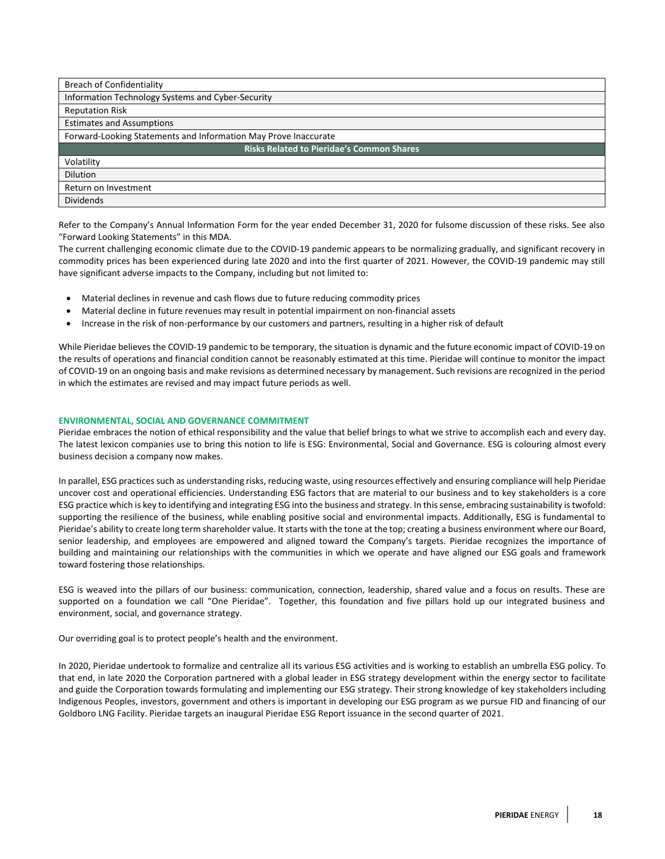| <b>Breach of Confidentiality</b>                                |
|-----------------------------------------------------------------|
| Information Technology Systems and Cyber-Security               |
| <b>Reputation Risk</b>                                          |
| <b>Estimates and Assumptions</b>                                |
| Forward-Looking Statements and Information May Prove Inaccurate |
| <b>Risks Related to Pieridae's Common Shares</b>                |
| Volatility                                                      |
| <b>Dilution</b>                                                 |
| Return on Investment                                            |
| <b>Dividends</b>                                                |

Refer to the Company's Annual Information Form for the year ended December 31, 2020 for fulsome discussion of these risks. See also "Forward Looking Statements" in this MDA.

The current challenging economic climate due to the COVID-19 pandemic appears to be normalizing gradually, and significant recovery in commodity prices has been experienced during late 2020 and into the first quarter of 2021. However, the COVID-19 pandemic may still have significant adverse impacts to the Company, including but not limited to:

- Material declines in revenue and cash flows due to future reducing commodity prices
- Material decline in future revenues may result in potential impairment on non-financial assets
- Increase in the risk of non-performance by our customers and partners, resulting in a higher risk of default

While Pieridae believes the COVID-19 pandemic to be temporary, the situation is dynamic and the future economic impact of COVID-19 on the results of operations and financial condition cannot be reasonably estimated at this time. Pieridae will continue to monitor the impact of COVID-19 on an ongoing basis and make revisions as determined necessary by management. Such revisions are recognized in the period in which the estimates are revised and may impact future periods as well.

## **ENVIRONMENTAL, SOCIAL AND GOVERNANCE COMMITMENT**

Pieridae embraces the notion of ethical responsibility and the value that belief brings to what we strive to accomplish each and every day. The latest lexicon companies use to bring this notion to life is ESG: Environmental, Social and Governance. ESG is colouring almost every business decision a company now makes.

In parallel, ESG practices such as understanding risks, reducing waste, using resources effectively and ensuring compliance will help Pieridae uncover cost and operational efficiencies. Understanding ESG factors that are material to our business and to key stakeholders is a core ESG practice which is key to identifying and integrating ESG into the business and strategy. In this sense, embracing sustainability is twofold: supporting the resilience of the business, while enabling positive social and environmental impacts. Additionally, ESG is fundamental to Pieridae's ability to create long term shareholder value. It starts with the tone at the top; creating a business environment where our Board, senior leadership, and employees are empowered and aligned toward the Company's targets. Pieridae recognizes the importance of building and maintaining our relationships with the communities in which we operate and have aligned our ESG goals and framework toward fostering those relationships.

ESG is weaved into the pillars of our business: communication, connection, leadership, shared value and a focus on results. These are supported on a foundation we call "One Pieridae". Together, this foundation and five pillars hold up our integrated business and environment, social, and governance strategy.

Our overriding goal is to protect people's health and the environment.

In 2020, Pieridae undertook to formalize and centralize all its various ESG activities and is working to establish an umbrella ESG policy. To that end, in late 2020 the Corporation partnered with a global leader in ESG strategy development within the energy sector to facilitate and guide the Corporation towards formulating and implementing our ESG strategy. Their strong knowledge of key stakeholders including Indigenous Peoples, investors, government and others is important in developing our ESG program as we pursue FID and financing of our Goldboro LNG Facility. Pieridae targets an inaugural Pieridae ESG Report issuance in the second quarter of 2021.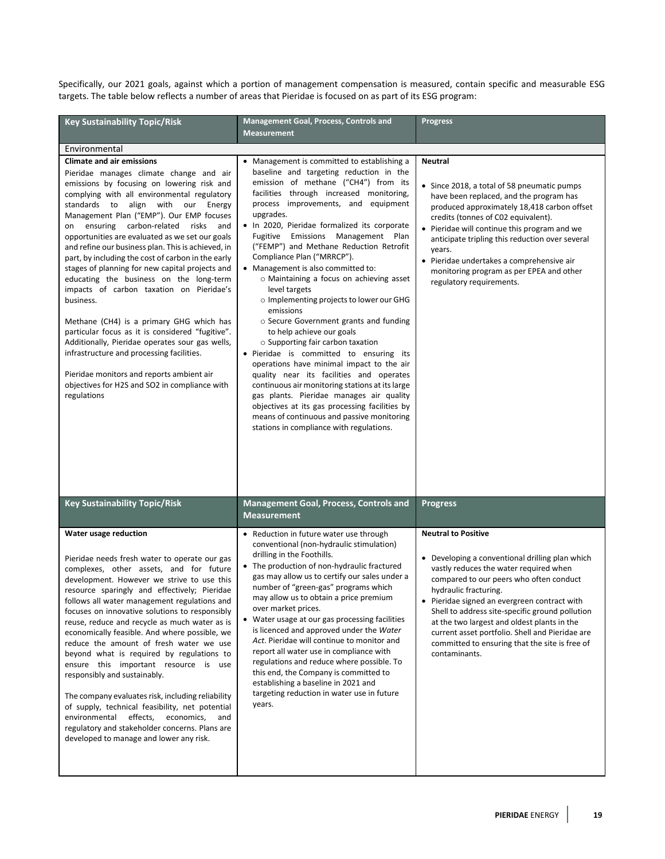Specifically, our 2021 goals, against which a portion of management compensation is measured, contain specific and measurable ESG targets. The table below reflects a number of areas that Pieridae is focused on as part of its ESG program:

| <b>Key Sustainability Topic/Risk</b>                                                                                                                                                                                                                                                                                                                                                                                                                                                                                                                                                                                                                                                                                                                                                                                                                                                                                                     | Management Goal, Process, Controls and<br><b>Measurement</b>                                                                                                                                                                                                                                                                                                                                                                                                                                                                                                                                                                                                                                                                                                                                                                                                                                                                                                                                                                                                   | <b>Progress</b>                                                                                                                                                                                                                                                                                                                                                                                                                                                     |
|------------------------------------------------------------------------------------------------------------------------------------------------------------------------------------------------------------------------------------------------------------------------------------------------------------------------------------------------------------------------------------------------------------------------------------------------------------------------------------------------------------------------------------------------------------------------------------------------------------------------------------------------------------------------------------------------------------------------------------------------------------------------------------------------------------------------------------------------------------------------------------------------------------------------------------------|----------------------------------------------------------------------------------------------------------------------------------------------------------------------------------------------------------------------------------------------------------------------------------------------------------------------------------------------------------------------------------------------------------------------------------------------------------------------------------------------------------------------------------------------------------------------------------------------------------------------------------------------------------------------------------------------------------------------------------------------------------------------------------------------------------------------------------------------------------------------------------------------------------------------------------------------------------------------------------------------------------------------------------------------------------------|---------------------------------------------------------------------------------------------------------------------------------------------------------------------------------------------------------------------------------------------------------------------------------------------------------------------------------------------------------------------------------------------------------------------------------------------------------------------|
| Environmental                                                                                                                                                                                                                                                                                                                                                                                                                                                                                                                                                                                                                                                                                                                                                                                                                                                                                                                            |                                                                                                                                                                                                                                                                                                                                                                                                                                                                                                                                                                                                                                                                                                                                                                                                                                                                                                                                                                                                                                                                |                                                                                                                                                                                                                                                                                                                                                                                                                                                                     |
| <b>Climate and air emissions</b><br>Pieridae manages climate change and air<br>emissions by focusing on lowering risk and<br>complying with all environmental regulatory<br>standards to align with our Energy<br>Management Plan ("EMP"). Our EMP focuses<br>on ensuring carbon-related risks<br>and<br>opportunities are evaluated as we set our goals<br>and refine our business plan. This is achieved, in<br>part, by including the cost of carbon in the early<br>stages of planning for new capital projects and<br>educating the business on the long-term<br>impacts of carbon taxation on Pieridae's<br>business.<br>Methane (CH4) is a primary GHG which has<br>particular focus as it is considered "fugitive".<br>Additionally, Pieridae operates sour gas wells,<br>infrastructure and processing facilities.<br>Pieridae monitors and reports ambient air<br>objectives for H2S and SO2 in compliance with<br>regulations | Management is committed to establishing a<br>baseline and targeting reduction in the<br>emission of methane ("CH4") from its<br>facilities through increased monitoring,<br>process improvements, and equipment<br>upgrades.<br>. In 2020, Pieridae formalized its corporate<br>Fugitive Emissions Management Plan<br>("FEMP") and Methane Reduction Retrofit<br>Compliance Plan ("MRRCP").<br>• Management is also committed to:<br>o Maintaining a focus on achieving asset<br>level targets<br>$\circ$ Implementing projects to lower our GHG<br>emissions<br>○ Secure Government grants and funding<br>to help achieve our goals<br>$\circ$ Supporting fair carbon taxation<br>• Pieridae is committed to ensuring its<br>operations have minimal impact to the air<br>quality near its facilities and operates<br>continuous air monitoring stations at its large<br>gas plants. Pieridae manages air quality<br>objectives at its gas processing facilities by<br>means of continuous and passive monitoring<br>stations in compliance with regulations. | <b>Neutral</b><br>• Since 2018, a total of 58 pneumatic pumps<br>have been replaced, and the program has<br>produced approximately 18,418 carbon offset<br>credits (tonnes of C02 equivalent).<br>• Pieridae will continue this program and we<br>anticipate tripling this reduction over several<br>years.<br>Pieridae undertakes a comprehensive air<br>monitoring program as per EPEA and other<br>regulatory requirements.                                      |
| <b>Key Sustainability Topic/Risk</b>                                                                                                                                                                                                                                                                                                                                                                                                                                                                                                                                                                                                                                                                                                                                                                                                                                                                                                     | Management Goal, Process, Controls and<br><b>Measurement</b>                                                                                                                                                                                                                                                                                                                                                                                                                                                                                                                                                                                                                                                                                                                                                                                                                                                                                                                                                                                                   | <b>Progress</b>                                                                                                                                                                                                                                                                                                                                                                                                                                                     |
| Water usage reduction<br>Pieridae needs fresh water to operate our gas<br>complexes, other assets, and for future<br>development. However we strive to use this<br>resource sparingly and effectively; Pieridae<br>follows all water management regulations and<br>focuses on innovative solutions to responsibly<br>reuse, reduce and recycle as much water as is<br>economically feasible. And where possible, we<br>reduce the amount of fresh water we use<br>beyond what is required by regulations to<br>ensure this important resource is use<br>responsibly and sustainably.<br>The company evaluates risk, including reliability<br>of supply, technical feasibility, net potential<br>effects,<br>economics,<br>environmental<br>and<br>regulatory and stakeholder concerns. Plans are<br>developed to manage and lower any risk.                                                                                              | • Reduction in future water use through<br>conventional (non-hydraulic stimulation)<br>drilling in the Foothills.<br>• The production of non-hydraulic fractured<br>gas may allow us to certify our sales under a<br>number of "green-gas" programs which<br>may allow us to obtain a price premium<br>over market prices.<br>• Water usage at our gas processing facilities<br>is licenced and approved under the Water<br>Act. Pieridae will continue to monitor and<br>report all water use in compliance with<br>regulations and reduce where possible. To<br>this end, the Company is committed to<br>establishing a baseline in 2021 and<br>targeting reduction in water use in future<br>years.                                                                                                                                                                                                                                                                                                                                                         | <b>Neutral to Positive</b><br>• Developing a conventional drilling plan which<br>vastly reduces the water required when<br>compared to our peers who often conduct<br>hydraulic fracturing.<br>• Pieridae signed an evergreen contract with<br>Shell to address site-specific ground pollution<br>at the two largest and oldest plants in the<br>current asset portfolio. Shell and Pieridae are<br>committed to ensuring that the site is free of<br>contaminants. |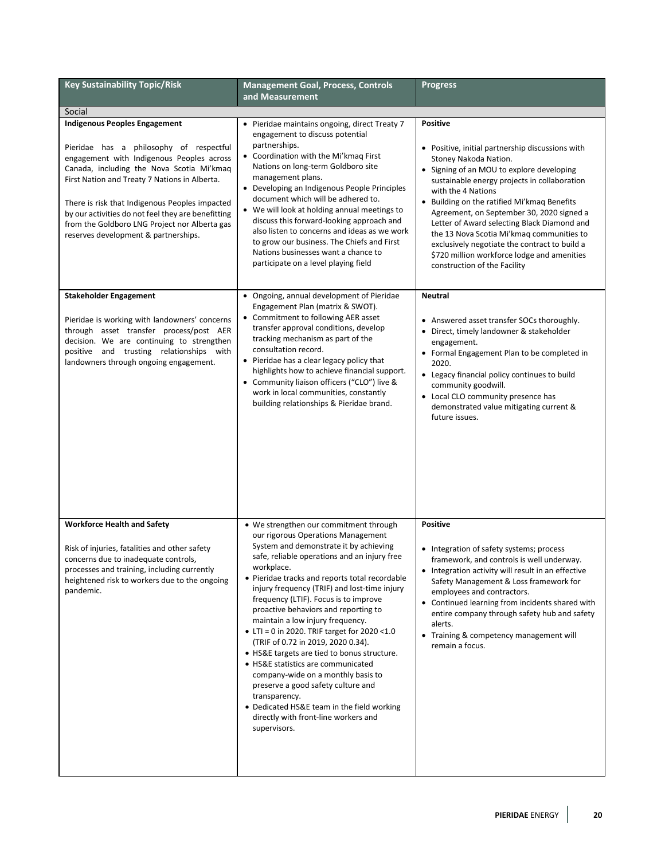| <b>Key Sustainability Topic/Risk</b>                                                                                                                                                                                                                                                                                                                                                                                        | <b>Management Goal, Process, Controls</b>                                                                                                                                                                                                                                                                                                                                                                                                                                                                                                                                                                                                                                                                                                                                                 | <b>Progress</b>                                                                                                                                                                                                                                                                                                                                                                                                                                                                                                                         |  |  |  |  |
|-----------------------------------------------------------------------------------------------------------------------------------------------------------------------------------------------------------------------------------------------------------------------------------------------------------------------------------------------------------------------------------------------------------------------------|-------------------------------------------------------------------------------------------------------------------------------------------------------------------------------------------------------------------------------------------------------------------------------------------------------------------------------------------------------------------------------------------------------------------------------------------------------------------------------------------------------------------------------------------------------------------------------------------------------------------------------------------------------------------------------------------------------------------------------------------------------------------------------------------|-----------------------------------------------------------------------------------------------------------------------------------------------------------------------------------------------------------------------------------------------------------------------------------------------------------------------------------------------------------------------------------------------------------------------------------------------------------------------------------------------------------------------------------------|--|--|--|--|
|                                                                                                                                                                                                                                                                                                                                                                                                                             | and Measurement                                                                                                                                                                                                                                                                                                                                                                                                                                                                                                                                                                                                                                                                                                                                                                           |                                                                                                                                                                                                                                                                                                                                                                                                                                                                                                                                         |  |  |  |  |
| Social                                                                                                                                                                                                                                                                                                                                                                                                                      |                                                                                                                                                                                                                                                                                                                                                                                                                                                                                                                                                                                                                                                                                                                                                                                           |                                                                                                                                                                                                                                                                                                                                                                                                                                                                                                                                         |  |  |  |  |
| <b>Indigenous Peoples Engagement</b><br>Pieridae has a philosophy of respectful<br>engagement with Indigenous Peoples across<br>Canada, including the Nova Scotia Mi'kmaq<br>First Nation and Treaty 7 Nations in Alberta.<br>There is risk that Indigenous Peoples impacted<br>by our activities do not feel they are benefitting<br>from the Goldboro LNG Project nor Alberta gas<br>reserves development & partnerships. | • Pieridae maintains ongoing, direct Treaty 7<br>engagement to discuss potential<br>partnerships.<br>• Coordination with the Mi'kmag First<br>Nations on long-term Goldboro site<br>management plans.<br>• Developing an Indigenous People Principles<br>document which will be adhered to.<br>• We will look at holding annual meetings to<br>discuss this forward-looking approach and<br>also listen to concerns and ideas as we work<br>to grow our business. The Chiefs and First<br>Nations businesses want a chance to<br>participate on a level playing field                                                                                                                                                                                                                     | <b>Positive</b><br>• Positive, initial partnership discussions with<br>Stoney Nakoda Nation.<br>• Signing of an MOU to explore developing<br>sustainable energy projects in collaboration<br>with the 4 Nations<br>• Building on the ratified Mi'kmaq Benefits<br>Agreement, on September 30, 2020 signed a<br>Letter of Award selecting Black Diamond and<br>the 13 Nova Scotia Mi'kmag communities to<br>exclusively negotiate the contract to build a<br>\$720 million workforce lodge and amenities<br>construction of the Facility |  |  |  |  |
| <b>Stakeholder Engagement</b><br>Pieridae is working with landowners' concerns<br>through asset transfer process/post AER<br>decision. We are continuing to strengthen<br>positive and trusting relationships with<br>landowners through ongoing engagement.                                                                                                                                                                | • Ongoing, annual development of Pieridae<br>Engagement Plan (matrix & SWOT).<br>• Commitment to following AER asset<br>transfer approval conditions, develop<br>tracking mechanism as part of the<br>consultation record.<br>• Pieridae has a clear legacy policy that<br>highlights how to achieve financial support.<br>• Community liaison officers ("CLO") live &<br>work in local communities, constantly<br>building relationships & Pieridae brand.                                                                                                                                                                                                                                                                                                                               | <b>Neutral</b><br>• Answered asset transfer SOCs thoroughly.<br>Direct, timely landowner & stakeholder<br>engagement.<br>• Formal Engagement Plan to be completed in<br>2020.<br>• Legacy financial policy continues to build<br>community goodwill.<br>• Local CLO community presence has<br>demonstrated value mitigating current &<br>future issues.                                                                                                                                                                                 |  |  |  |  |
| <b>Workforce Health and Safety</b><br>Risk of injuries, fatalities and other safety<br>concerns due to inadequate controls,<br>processes and training, including currently<br>heightened risk to workers due to the ongoing<br>pandemic.                                                                                                                                                                                    | • We strengthen our commitment through<br>our rigorous Operations Management<br>System and demonstrate it by achieving<br>safe, reliable operations and an injury free<br>workplace.<br>• Pieridae tracks and reports total recordable<br>injury frequency (TRIF) and lost-time injury<br>frequency (LTIF). Focus is to improve<br>proactive behaviors and reporting to<br>maintain a low injury frequency.<br>• LTI = 0 in 2020. TRIF target for 2020 <1.0<br>(TRIF of 0.72 in 2019, 2020 0.34).<br>• HS&E targets are tied to bonus structure.<br>• HS&E statistics are communicated<br>company-wide on a monthly basis to<br>preserve a good safety culture and<br>transparency.<br>• Dedicated HS&E team in the field working<br>directly with front-line workers and<br>supervisors. | <b>Positive</b><br>• Integration of safety systems; process<br>framework, and controls is well underway.<br>• Integration activity will result in an effective<br>Safety Management & Loss framework for<br>employees and contractors.<br>• Continued learning from incidents shared with<br>entire company through safety hub and safety<br>alerts.<br>• Training & competency management will<br>remain a focus.                                                                                                                      |  |  |  |  |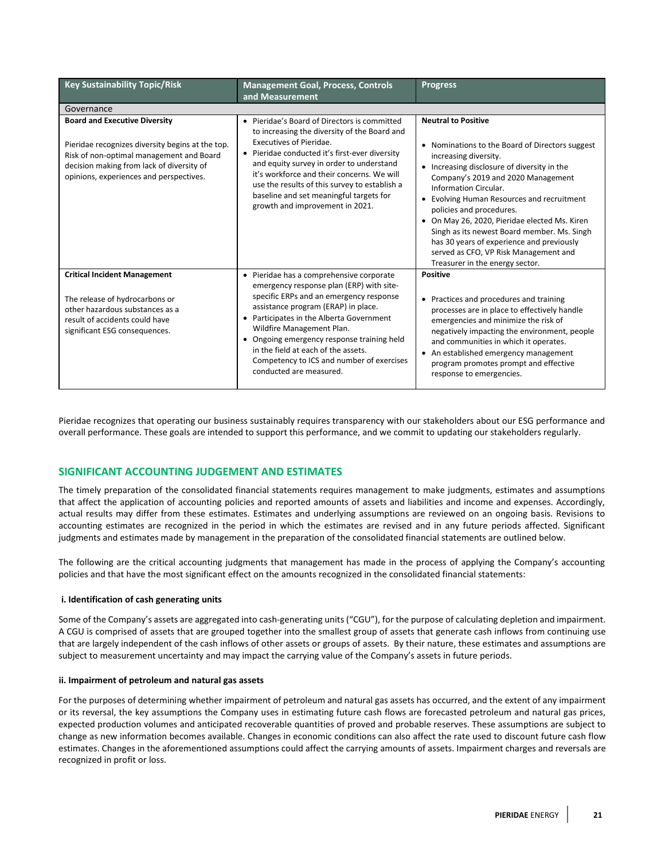| <b>Key Sustainability Topic/Risk</b>                                                                                                                                                                                         | <b>Management Goal, Process, Controls</b><br>and Measurement                                                                                                                                                                                                                                                                                                                                                 | <b>Progress</b>                                                                                                                                                                                                                                                                                                                                                                                                                                                                                                       |
|------------------------------------------------------------------------------------------------------------------------------------------------------------------------------------------------------------------------------|--------------------------------------------------------------------------------------------------------------------------------------------------------------------------------------------------------------------------------------------------------------------------------------------------------------------------------------------------------------------------------------------------------------|-----------------------------------------------------------------------------------------------------------------------------------------------------------------------------------------------------------------------------------------------------------------------------------------------------------------------------------------------------------------------------------------------------------------------------------------------------------------------------------------------------------------------|
| Governance                                                                                                                                                                                                                   |                                                                                                                                                                                                                                                                                                                                                                                                              |                                                                                                                                                                                                                                                                                                                                                                                                                                                                                                                       |
| <b>Board and Executive Diversity</b><br>Pieridae recognizes diversity begins at the top.<br>Risk of non-optimal management and Board<br>decision making from lack of diversity of<br>opinions, experiences and perspectives. | • Pieridae's Board of Directors is committed<br>to increasing the diversity of the Board and<br>Executives of Pieridae.<br>• Pieridae conducted it's first-ever diversity<br>and equity survey in order to understand<br>it's workforce and their concerns. We will<br>use the results of this survey to establish a<br>baseline and set meaningful targets for<br>growth and improvement in 2021.           | <b>Neutral to Positive</b><br>• Nominations to the Board of Directors suggest<br>increasing diversity.<br>• Increasing disclosure of diversity in the<br>Company's 2019 and 2020 Management<br>Information Circular.<br>Evolving Human Resources and recruitment<br>policies and procedures.<br>• On May 26, 2020, Pieridae elected Ms. Kiren<br>Singh as its newest Board member. Ms. Singh<br>has 30 years of experience and previously<br>served as CFO, VP Risk Management and<br>Treasurer in the energy sector. |
| <b>Critical Incident Management</b><br>The release of hydrocarbons or<br>other hazardous substances as a<br>result of accidents could have<br>significant ESG consequences.                                                  | • Pieridae has a comprehensive corporate<br>emergency response plan (ERP) with site-<br>specific ERPs and an emergency response<br>assistance program (ERAP) in place.<br>• Participates in the Alberta Government<br>Wildfire Management Plan.<br>• Ongoing emergency response training held<br>in the field at each of the assets.<br>Competency to ICS and number of exercises<br>conducted are measured. | <b>Positive</b><br>• Practices and procedures and training<br>processes are in place to effectively handle<br>emergencies and minimize the risk of<br>negatively impacting the environment, people<br>and communities in which it operates.<br>• An established emergency management<br>program promotes prompt and effective<br>response to emergencies.                                                                                                                                                             |

Pieridae recognizes that operating our business sustainably requires transparency with our stakeholders about our ESG performance and overall performance. These goals are intended to support this performance, and we commit to updating our stakeholders regularly.

# **SIGNIFICANT ACCOUNTING JUDGEMENT AND ESTIMATES**

The timely preparation of the consolidated financial statements requires management to make judgments, estimates and assumptions that affect the application of accounting policies and reported amounts of assets and liabilities and income and expenses. Accordingly, actual results may differ from these estimates. Estimates and underlying assumptions are reviewed on an ongoing basis. Revisions to accounting estimates are recognized in the period in which the estimates are revised and in any future periods affected. Significant judgments and estimates made by management in the preparation of the consolidated financial statements are outlined below.

The following are the critical accounting judgments that management has made in the process of applying the Company's accounting policies and that have the most significant effect on the amounts recognized in the consolidated financial statements:

#### **i. Identification of cash generating units**

Some of the Company's assets are aggregated into cash-generating units("CGU"), for the purpose of calculating depletion and impairment. A CGU is comprised of assets that are grouped together into the smallest group of assets that generate cash inflows from continuing use that are largely independent of the cash inflows of other assets or groups of assets. By their nature, these estimates and assumptions are subject to measurement uncertainty and may impact the carrying value of the Company's assets in future periods.

## **ii. Impairment of petroleum and natural gas assets**

For the purposes of determining whether impairment of petroleum and natural gas assets has occurred, and the extent of any impairment or its reversal, the key assumptions the Company uses in estimating future cash flows are forecasted petroleum and natural gas prices, expected production volumes and anticipated recoverable quantities of proved and probable reserves. These assumptions are subject to change as new information becomes available. Changes in economic conditions can also affect the rate used to discount future cash flow estimates. Changes in the aforementioned assumptions could affect the carrying amounts of assets. Impairment charges and reversals are recognized in profit or loss.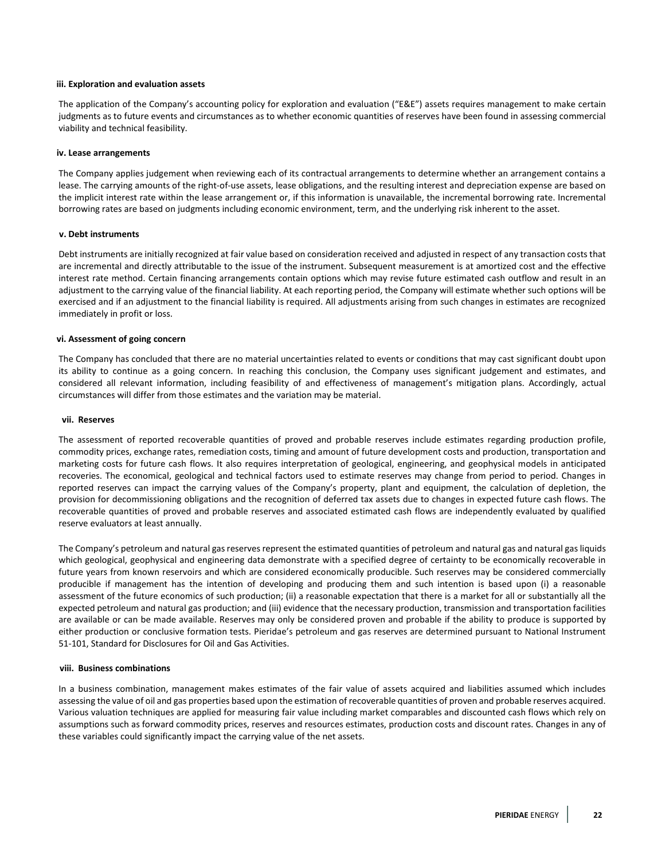#### **iii. Exploration and evaluation assets**

The application of the Company's accounting policy for exploration and evaluation ("E&E") assets requires management to make certain judgments as to future events and circumstances as to whether economic quantities of reserves have been found in assessing commercial viability and technical feasibility.

#### **iv. Lease arrangements**

The Company applies judgement when reviewing each of its contractual arrangements to determine whether an arrangement contains a lease. The carrying amounts of the right-of-use assets, lease obligations, and the resulting interest and depreciation expense are based on the implicit interest rate within the lease arrangement or, if this information is unavailable, the incremental borrowing rate. Incremental borrowing rates are based on judgments including economic environment, term, and the underlying risk inherent to the asset.

#### **v. Debt instruments**

Debt instruments are initially recognized at fair value based on consideration received and adjusted in respect of any transaction costs that are incremental and directly attributable to the issue of the instrument. Subsequent measurement is at amortized cost and the effective interest rate method. Certain financing arrangements contain options which may revise future estimated cash outflow and result in an adjustment to the carrying value of the financial liability. At each reporting period, the Company will estimate whether such options will be exercised and if an adjustment to the financial liability is required. All adjustments arising from such changes in estimates are recognized immediately in profit or loss.

## **vi. Assessment of going concern**

The Company has concluded that there are no material uncertainties related to events or conditions that may cast significant doubt upon its ability to continue as a going concern. In reaching this conclusion, the Company uses significant judgement and estimates, and considered all relevant information, including feasibility of and effectiveness of management's mitigation plans. Accordingly, actual circumstances will differ from those estimates and the variation may be material.

#### **vii. Reserves**

The assessment of reported recoverable quantities of proved and probable reserves include estimates regarding production profile, commodity prices, exchange rates, remediation costs, timing and amount of future development costs and production, transportation and marketing costs for future cash flows. It also requires interpretation of geological, engineering, and geophysical models in anticipated recoveries. The economical, geological and technical factors used to estimate reserves may change from period to period. Changes in reported reserves can impact the carrying values of the Company's property, plant and equipment, the calculation of depletion, the provision for decommissioning obligations and the recognition of deferred tax assets due to changes in expected future cash flows. The recoverable quantities of proved and probable reserves and associated estimated cash flows are independently evaluated by qualified reserve evaluators at least annually.

The Company's petroleum and natural gas reserves represent the estimated quantities of petroleum and natural gas and natural gas liquids which geological, geophysical and engineering data demonstrate with a specified degree of certainty to be economically recoverable in future years from known reservoirs and which are considered economically producible. Such reserves may be considered commercially producible if management has the intention of developing and producing them and such intention is based upon (i) a reasonable assessment of the future economics of such production; (ii) a reasonable expectation that there is a market for all or substantially all the expected petroleum and natural gas production; and (iii) evidence that the necessary production, transmission and transportation facilities are available or can be made available. Reserves may only be considered proven and probable if the ability to produce is supported by either production or conclusive formation tests. Pieridae's petroleum and gas reserves are determined pursuant to National Instrument 51-101, Standard for Disclosures for Oil and Gas Activities.

#### **viii. Business combinations**

In a business combination, management makes estimates of the fair value of assets acquired and liabilities assumed which includes assessing the value of oil and gas properties based upon the estimation of recoverable quantities of proven and probable reserves acquired. Various valuation techniques are applied for measuring fair value including market comparables and discounted cash flows which rely on assumptions such as forward commodity prices, reserves and resources estimates, production costs and discount rates. Changes in any of these variables could significantly impact the carrying value of the net assets.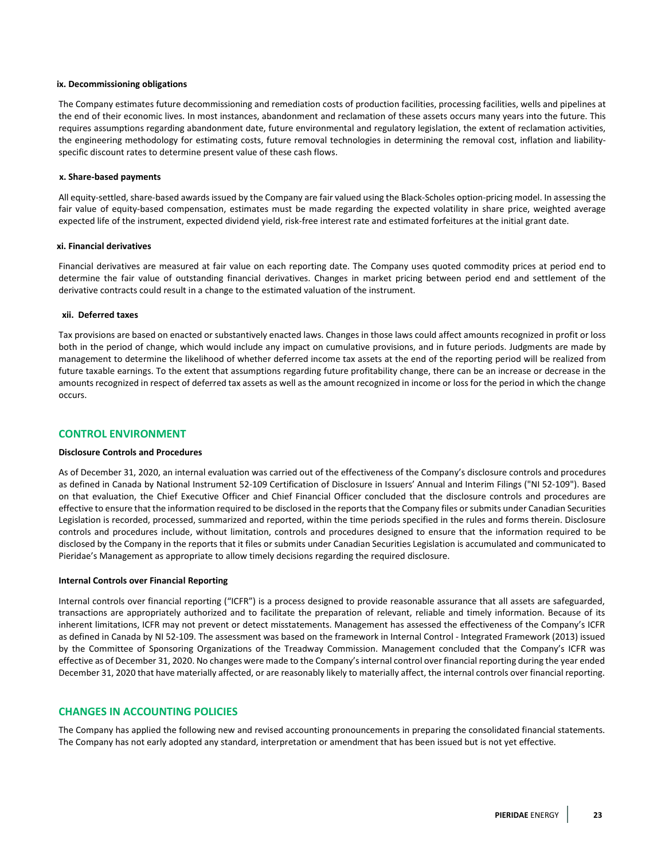#### **ix. Decommissioning obligations**

The Company estimates future decommissioning and remediation costs of production facilities, processing facilities, wells and pipelines at the end of their economic lives. In most instances, abandonment and reclamation of these assets occurs many years into the future. This requires assumptions regarding abandonment date, future environmental and regulatory legislation, the extent of reclamation activities, the engineering methodology for estimating costs, future removal technologies in determining the removal cost, inflation and liabilityspecific discount rates to determine present value of these cash flows.

#### **x. Share-based payments**

All equity-settled, share-based awards issued by the Company are fair valued using the Black-Scholes option-pricing model. In assessing the fair value of equity-based compensation, estimates must be made regarding the expected volatility in share price, weighted average expected life of the instrument, expected dividend yield, risk-free interest rate and estimated forfeitures at the initial grant date.

#### **xi. Financial derivatives**

Financial derivatives are measured at fair value on each reporting date. The Company uses quoted commodity prices at period end to determine the fair value of outstanding financial derivatives. Changes in market pricing between period end and settlement of the derivative contracts could result in a change to the estimated valuation of the instrument.

#### **xii. Deferred taxes**

Tax provisions are based on enacted or substantively enacted laws. Changes in those laws could affect amounts recognized in profit or loss both in the period of change, which would include any impact on cumulative provisions, and in future periods. Judgments are made by management to determine the likelihood of whether deferred income tax assets at the end of the reporting period will be realized from future taxable earnings. To the extent that assumptions regarding future profitability change, there can be an increase or decrease in the amounts recognized in respect of deferred tax assets as well as the amount recognized in income or loss for the period in which the change occurs.

## **CONTROL ENVIRONMENT**

#### **Disclosure Controls and Procedures**

As of December 31, 2020, an internal evaluation was carried out of the effectiveness of the Company's disclosure controls and procedures as defined in Canada by National Instrument 52-109 Certification of Disclosure in Issuers' Annual and Interim Filings ("NI 52-109"). Based on that evaluation, the Chief Executive Officer and Chief Financial Officer concluded that the disclosure controls and procedures are effective to ensure that the information required to be disclosed in the reports that the Company files or submits under Canadian Securities Legislation is recorded, processed, summarized and reported, within the time periods specified in the rules and forms therein. Disclosure controls and procedures include, without limitation, controls and procedures designed to ensure that the information required to be disclosed by the Company in the reports that it files or submits under Canadian Securities Legislation is accumulated and communicated to Pieridae's Management as appropriate to allow timely decisions regarding the required disclosure.

#### **Internal Controls over Financial Reporting**

Internal controls over financial reporting ("ICFR") is a process designed to provide reasonable assurance that all assets are safeguarded, transactions are appropriately authorized and to facilitate the preparation of relevant, reliable and timely information. Because of its inherent limitations, ICFR may not prevent or detect misstatements. Management has assessed the effectiveness of the Company's ICFR as defined in Canada by NI 52-109. The assessment was based on the framework in Internal Control - Integrated Framework (2013) issued by the Committee of Sponsoring Organizations of the Treadway Commission. Management concluded that the Company's ICFR was effective as of December 31, 2020. No changes were made to the Company's internal control over financial reporting during the year ended December 31, 2020 that have materially affected, or are reasonably likely to materially affect, the internal controls over financial reporting.

## **CHANGES IN ACCOUNTING POLICIES**

The Company has applied the following new and revised accounting pronouncements in preparing the consolidated financial statements. The Company has not early adopted any standard, interpretation or amendment that has been issued but is not yet effective.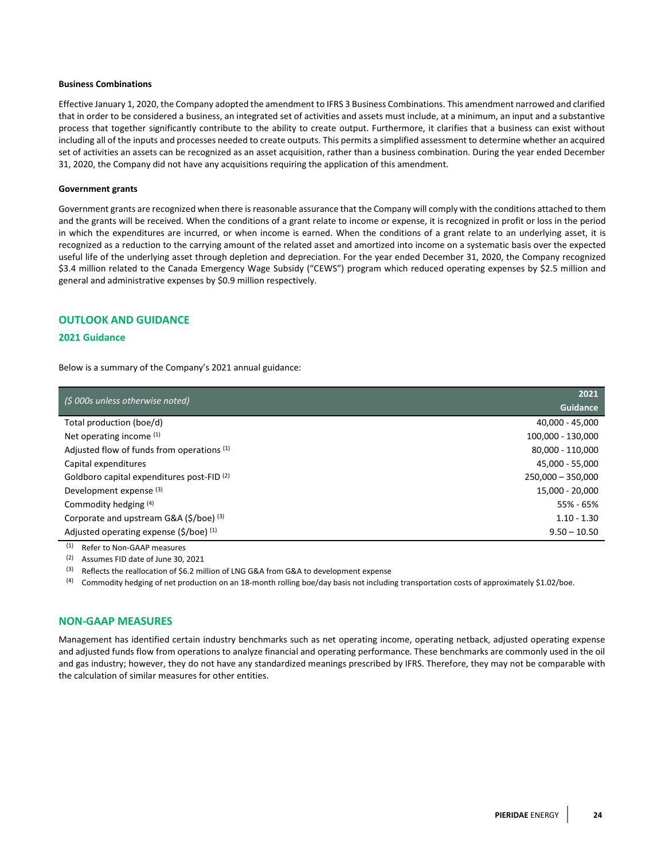## **Business Combinations**

Effective January 1, 2020, the Company adopted the amendment to IFRS 3 Business Combinations. This amendment narrowed and clarified that in order to be considered a business, an integrated set of activities and assets must include, at a minimum, an input and a substantive process that together significantly contribute to the ability to create output. Furthermore, it clarifies that a business can exist without including all of the inputs and processes needed to create outputs. This permits a simplified assessment to determine whether an acquired set of activities an assets can be recognized as an asset acquisition, rather than a business combination. During the year ended December 31, 2020, the Company did not have any acquisitions requiring the application of this amendment.

#### **Government grants**

Government grants are recognized when there is reasonable assurance that the Company will comply with the conditions attached to them and the grants will be received. When the conditions of a grant relate to income or expense, it is recognized in profit or loss in the period in which the expenditures are incurred, or when income is earned. When the conditions of a grant relate to an underlying asset, it is recognized as a reduction to the carrying amount of the related asset and amortized into income on a systematic basis over the expected useful life of the underlying asset through depletion and depreciation. For the year ended December 31, 2020, the Company recognized \$3.4 million related to the Canada Emergency Wage Subsidy ("CEWS") program which reduced operating expenses by \$2.5 million and general and administrative expenses by \$0.9 million respectively.

## **OUTLOOK AND GUIDANCE**

## **2021 Guidance**

Below is a summary of the Company's 2021 annual guidance:

| (\$ 000s unless otherwise noted)                       | 2021                |
|--------------------------------------------------------|---------------------|
|                                                        | Guidance            |
| Total production (boe/d)                               | 40.000 - 45.000     |
| Net operating income $(1)$                             | 100,000 - 130,000   |
| Adjusted flow of funds from operations (1)             | 80,000 - 110,000    |
| Capital expenditures                                   | 45,000 - 55,000     |
| Goldboro capital expenditures post-FID <sup>(2)</sup>  | $250.000 - 350.000$ |
| Development expense <sup>(3)</sup>                     | 15.000 - 20.000     |
| Commodity hedging (4)                                  | 55% - 65%           |
| Corporate and upstream G&A (\$/boe) (3)                | $1.10 - 1.30$       |
| Adjusted operating expense $(\frac{2}{5})$ (boe) $(1)$ | $9.50 - 10.50$      |

 $\overline{^{(1)}}$  Refer to Non-GAAP measures

(2) Assumes FID date of June 30, 2021

 $(3)$  Reflects the reallocation of \$6.2 million of LNG G&A from G&A to development expense

(4) Commodity hedging of net production on an 18-month rolling boe/day basis not including transportation costs of approximately \$1.02/boe.

## **NON-GAAP MEASURES**

Management has identified certain industry benchmarks such as net operating income, operating netback, adjusted operating expense and adjusted funds flow from operations to analyze financial and operating performance. These benchmarks are commonly used in the oil and gas industry; however, they do not have any standardized meanings prescribed by IFRS. Therefore, they may not be comparable with the calculation of similar measures for other entities.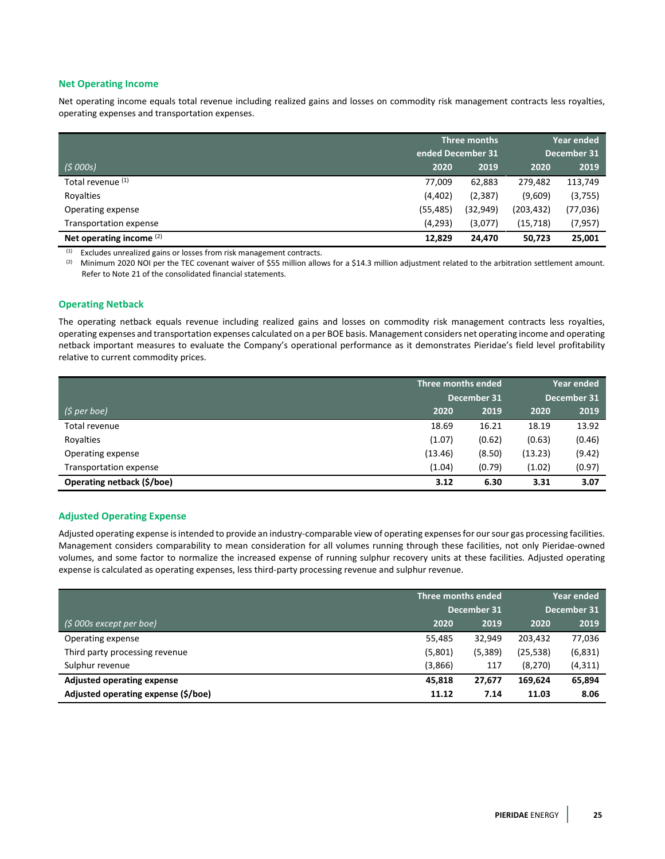# **Net Operating Income**

Net operating income equals total revenue including realized gains and losses on commodity risk management contracts less royalties, operating expenses and transportation expenses.

|                               | Three months      |           | Year ended  |          |
|-------------------------------|-------------------|-----------|-------------|----------|
|                               | ended December 31 |           | December 31 |          |
| (5000s)                       | 2020              | 2019      | 2020        | 2019     |
| Total revenue (1)             | 77.009            | 62,883    | 279,482     | 113,749  |
| Royalties                     | (4,402)           | (2, 387)  | (9,609)     | (3,755)  |
| Operating expense             | (55, 485)         | (32, 949) | (203,432)   | (77,036) |
| <b>Transportation expense</b> | (4,293)           | (3,077)   | (15, 718)   | (7,957)  |
| Net operating income $(2)$    | 12,829            | 24,470    | 50,723      | 25,001   |

 $(1)$  Excludes unrealized gains or losses from risk management contracts.

(2) Minimum 2020 NOI per the TEC covenant waiver of \$55 million allows for a \$14.3 million adjustment related to the arbitration settlement amount. Refer to Note 21 of the consolidated financial statements.

## **Operating Netback**

The operating netback equals revenue including realized gains and losses on commodity risk management contracts less royalties, operating expenses and transportation expenses calculated on a per BOE basis. Management considers net operating income and operating netback important measures to evaluate the Company's operational performance as it demonstrates Pieridae's field level profitability relative to current commodity prices.

|                            | Three months ended |        | Year ended  |        |
|----------------------------|--------------------|--------|-------------|--------|
|                            | December 31        |        | December 31 |        |
| (\$ per boe)               | 2020               | 2019   | 2020        | 2019   |
| Total revenue              | 18.69              | 16.21  | 18.19       | 13.92  |
| Royalties                  | (1.07)             | (0.62) | (0.63)      | (0.46) |
| Operating expense          | (13.46)            | (8.50) | (13.23)     | (9.42) |
| Transportation expense     | (1.04)             | (0.79) | (1.02)      | (0.97) |
| Operating netback (\$/boe) | 3.12               | 6.30   | 3.31        | 3.07   |

## **Adjusted Operating Expense**

Adjusted operating expense is intended to provide an industry-comparable view of operating expenses for our sour gas processing facilities. Management considers comparability to mean consideration for all volumes running through these facilities, not only Pieridae-owned volumes, and some factor to normalize the increased expense of running sulphur recovery units at these facilities. Adjusted operating expense is calculated as operating expenses, less third-party processing revenue and sulphur revenue.

|                                     | Three months ended<br>December 31 |         | Year ended<br>December 31 |          |
|-------------------------------------|-----------------------------------|---------|---------------------------|----------|
| $(5000s$ except per boe)            | 2020                              | 2019    | 2020                      | 2019     |
| Operating expense                   | 55,485                            | 32.949  | 203,432                   | 77,036   |
| Third party processing revenue      | (5,801)                           | (5,389) | (25, 538)                 | (6,831)  |
| Sulphur revenue                     | (3,866)                           | 117     | (8, 270)                  | (4, 311) |
| <b>Adjusted operating expense</b>   | 45.818                            | 27,677  | 169.624                   | 65,894   |
| Adjusted operating expense (\$/boe) | 11.12                             | 7.14    | 11.03                     | 8.06     |